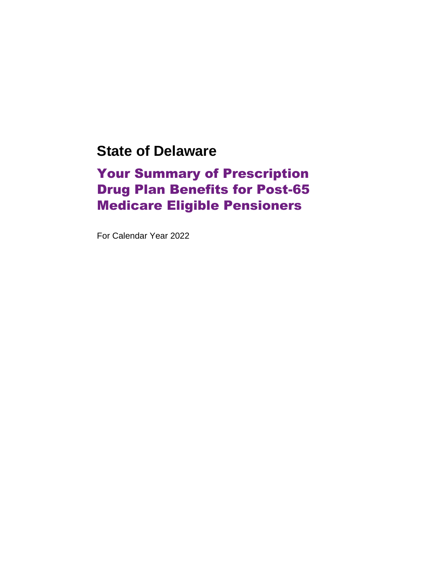## **State of Delaware**

## Your Summary of Prescription Drug Plan Benefits for Post-65 Medicare Eligible Pensioners

For Calendar Year 2022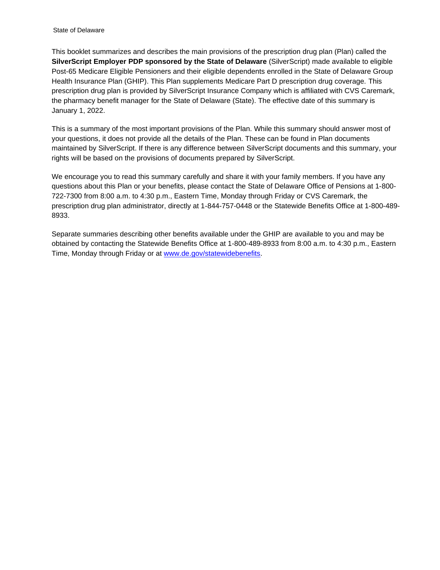This booklet summarizes and describes the main provisions of the prescription drug plan (Plan) called the **SilverScript Employer PDP sponsored by the State of Delaware** (SilverScript) made available to eligible Post-65 Medicare Eligible Pensioners and their eligible dependents enrolled in the State of Delaware Group Health Insurance Plan (GHIP). This Plan supplements Medicare Part D prescription drug coverage. This prescription drug plan is provided by SilverScript Insurance Company which is affiliated with CVS Caremark, the pharmacy benefit manager for the State of Delaware (State). The effective date of this summary is January 1, 2022.

This is a summary of the most important provisions of the Plan. While this summary should answer most of your questions, it does not provide all the details of the Plan. These can be found in Plan documents maintained by SilverScript. If there is any difference between SilverScript documents and this summary, your rights will be based on the provisions of documents prepared by SilverScript.

We encourage you to read this summary carefully and share it with your family members. If you have any questions about this Plan or your benefits, please contact the State of Delaware Office of Pensions at 1-800- 722-7300 from 8:00 a.m. to 4:30 p.m., Eastern Time, Monday through Friday or CVS Caremark, the prescription drug plan administrator, directly at 1-844-757-0448 or the Statewide Benefits Office at 1-800-489- 8933.

Separate summaries describing other benefits available under the GHIP are available to you and may be obtained by contacting the Statewide Benefits Office at 1-800-489-8933 from 8:00 a.m. to 4:30 p.m., Eastern Time, Monday through Friday or at [www.de.gov/statewidebenefits.](http://www.de.gov/statewidebenefits)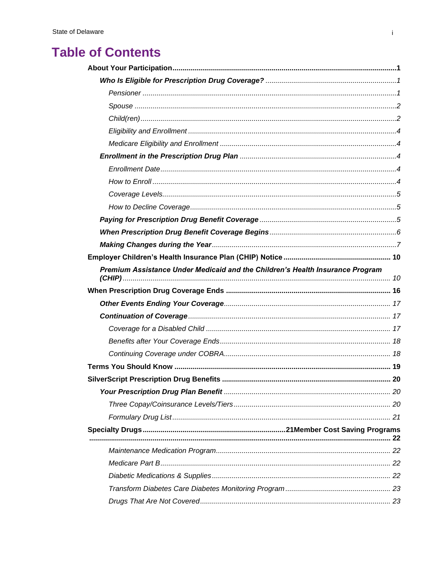## **Table of Contents**

| Premium Assistance Under Medicaid and the Children's Health Insurance Program |  |  |  |  |
|-------------------------------------------------------------------------------|--|--|--|--|
|                                                                               |  |  |  |  |
|                                                                               |  |  |  |  |
|                                                                               |  |  |  |  |
|                                                                               |  |  |  |  |
|                                                                               |  |  |  |  |
|                                                                               |  |  |  |  |
|                                                                               |  |  |  |  |
|                                                                               |  |  |  |  |
|                                                                               |  |  |  |  |
|                                                                               |  |  |  |  |
|                                                                               |  |  |  |  |
|                                                                               |  |  |  |  |
|                                                                               |  |  |  |  |
|                                                                               |  |  |  |  |
|                                                                               |  |  |  |  |
|                                                                               |  |  |  |  |
|                                                                               |  |  |  |  |
|                                                                               |  |  |  |  |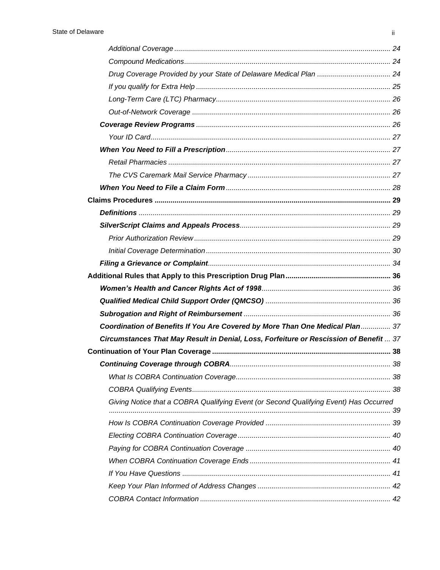| Coordination of Benefits If You Are Covered by More Than One Medical Plan 37           |  |
|----------------------------------------------------------------------------------------|--|
| Circumstances That May Result in Denial, Loss, Forfeiture or Rescission of Benefit  37 |  |
|                                                                                        |  |
|                                                                                        |  |
|                                                                                        |  |
|                                                                                        |  |
| Giving Notice that a COBRA Qualifying Event (or Second Qualifying Event) Has Occurred  |  |
|                                                                                        |  |
|                                                                                        |  |
|                                                                                        |  |
|                                                                                        |  |
|                                                                                        |  |
|                                                                                        |  |
|                                                                                        |  |
|                                                                                        |  |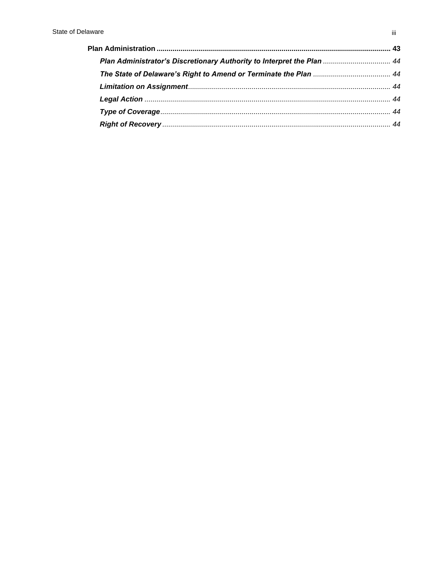| Plan Administrator's Discretionary Authority to Interpret the Plan  44 |  |
|------------------------------------------------------------------------|--|
|                                                                        |  |
|                                                                        |  |
|                                                                        |  |
|                                                                        |  |
|                                                                        |  |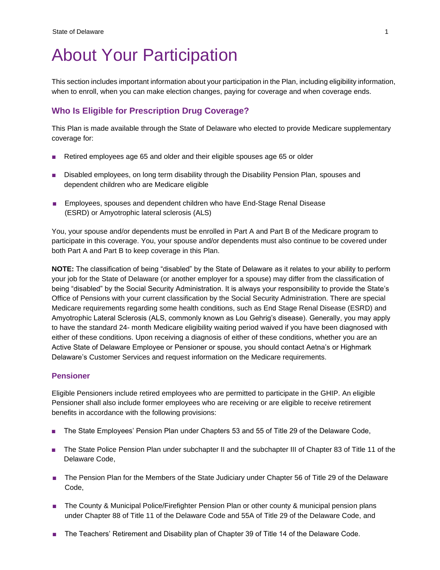## <span id="page-5-0"></span>About Your Participation

This section includes important information about your participation in the Plan, including eligibility information, when to enroll, when you can make election changes, paying for coverage and when coverage ends.

## <span id="page-5-1"></span>**Who Is Eligible for Prescription Drug Coverage?**

This Plan is made available through the State of Delaware who elected to provide Medicare supplementary coverage for:

- Retired employees age 65 and older and their eligible spouses age 65 or older
- Disabled employees, on long term disability through the Disability Pension Plan, spouses and dependent children who are Medicare eligible
- Employees, spouses and dependent children who have End-Stage Renal Disease [\(ESRD\) o](https://www.medicare.gov/sign-up-change-plans/get-parts-a-and-b/when-how-to-sign-up-for-part-a-and-part-b.html#1317)r Amyotrophic lateral sclerosis (ALS)

You, your spouse and/or dependents must be enrolled in Part A and Part B of the Medicare program to participate in this coverage. You, your spouse and/or dependents must also continue to be covered under both Part A and Part B to keep coverage in this Plan.

**NOTE:** The classification of being "disabled" by the State of Delaware as it relates to your ability to perform your job for the State of Delaware (or another employer for a spouse) may differ from the classification of being "disabled" by the Social Security Administration. It is always your responsibility to provide the State's Office of Pensions with your current classification by the Social Security Administration. There are special Medicare requirements regarding some health conditions, such as End Stage Renal Disease (ESRD) and Amyotrophic Lateral Sclerosis (ALS, commonly known as Lou Gehrig's disease). Generally, you may apply to have the standard 24- month Medicare eligibility waiting period waived if you have been diagnosed with either of these conditions. Upon receiving a diagnosis of either of these conditions, whether you are an Active State of Delaware Employee or Pensioner or spouse, you should contact Aetna's or Highmark Delaware's Customer Services and request information on the Medicare requirements.

#### <span id="page-5-2"></span>**Pensioner**

Eligible Pensioners include retired employees who are permitted to participate in the GHIP. An eligible Pensioner shall also include former employees who are receiving or are eligible to receive retirement benefits in accordance with the following provisions:

- The State Employees' Pension Plan under Chapters 53 and 55 of Title 29 of the Delaware Code,
- The State Police Pension Plan under subchapter II and the subchapter III of Chapter 83 of Title 11 of the Delaware Code,
- The Pension Plan for the Members of the State Judiciary under Chapter 56 of Title 29 of the Delaware Code,
- The County & Municipal Police/Firefighter Pension Plan or other county & municipal pension plans under Chapter 88 of Title 11 of the Delaware Code and 55A of Title 29 of the Delaware Code, and
- The Teachers' Retirement and Disability plan of Chapter 39 of Title 14 of the Delaware Code.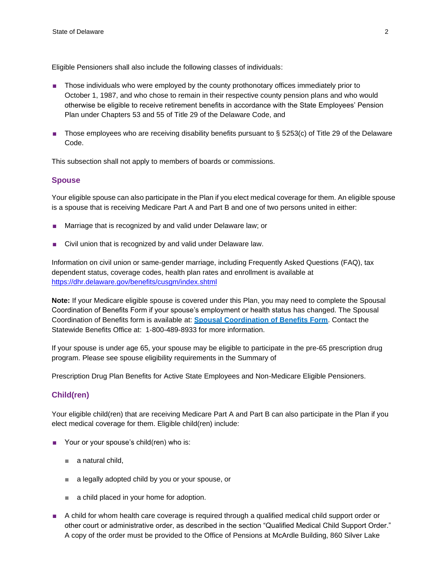Eligible Pensioners shall also include the following classes of individuals:

- Those individuals who were employed by the county prothonotary offices immediately prior to October 1, 1987, and who chose to remain in their respective county pension plans and who would otherwise be eligible to receive retirement benefits in accordance with the State Employees' Pension Plan under Chapters 53 and 55 of Title 29 of the Delaware Code, and
- Those employees who are receiving disability benefits pursuant to § 5253(c) of Title 29 of the Delaware Code.

This subsection shall not apply to members of boards or commissions.

#### <span id="page-6-0"></span>**Spouse**

Your eligible spouse can also participate in the Plan if you elect medical coverage for them. An eligible spouse is a spouse that is receiving Medicare Part A and Part B and one of two persons united in either:

- Marriage that is recognized by and valid under Delaware law; or
- Civil union that is recognized by and valid under Delaware law.

Information on civil union or same-gender marriage, including Frequently Asked Questions (FAQ), tax dependent status, coverage codes, health plan rates and enrollment is available at <https://dhr.delaware.gov/benefits/cusgm/index.shtml>

**Note:** If your Medicare eligible spouse is covered under this Plan, you may need to complete the Spousal Coordination of Benefits Form if your spouse's employment or health status has changed. The Spousal Coordination of Benefits form is available at: **[Spousal Coordination of Benefits Form](https://cob.dhr.delaware.gov/)**. Contact the Statewide Benefits Office at: 1-800-489-8933 for more information.

If your spouse is under age 65, your spouse may be eligible to participate in the pre-65 prescription drug program. Please see spouse eligibility requirements in the Summary of

Prescription Drug Plan Benefits for Active State Employees and Non-Medicare Eligible Pensioners.

#### <span id="page-6-1"></span>**Child(ren)**

Your eligible child(ren) that are receiving Medicare Part A and Part B can also participate in the Plan if you elect medical coverage for them. Eligible child(ren) include:

- Your or your spouse's child(ren) who is:
	- *■* a natural child,
	- *■* a legally adopted child by you or your spouse, or
	- *■* a child placed in your home for adoption.
- A child for whom health care coverage is required through a qualified medical child support order or other court or administrative order, as described in the section "Qualified Medical Child Support Order." A copy of the order must be provided to the Office of Pensions at McArdle Building, 860 Silver Lake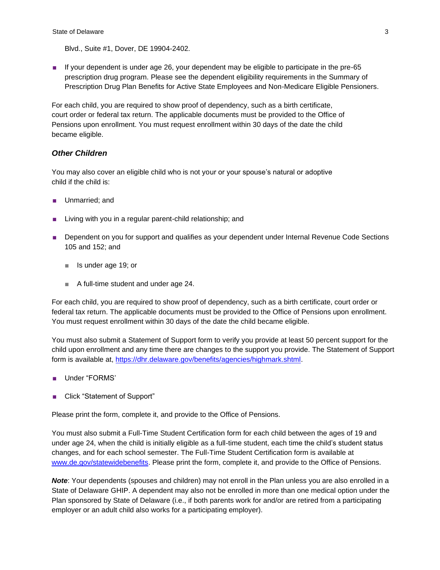Blvd., Suite #1, Dover, DE 19904-2402.

■ If your dependent is under age 26, your dependent may be eligible to participate in the pre-65 prescription drug program. Please see the dependent eligibility requirements in the Summary of Prescription Drug Plan Benefits for Active State Employees and Non-Medicare Eligible Pensioners.

For each child, you are required to show proof of dependency, such as a birth certificate, court order or federal tax return. The applicable documents must be provided to the Office of Pensions upon enrollment. You must request enrollment within 30 days of the date the child became eligible.

#### *Other Children*

You may also cover an eligible child who is not your or your spouse's natural or adoptive child if the child is:

- Unmarried; and
- Living with you in a regular parent-child relationship; and
- Dependent on you for support and qualifies as your dependent under Internal Revenue Code Sections 105 and 152; and
	- *■* Is under age 19; or
	- *■* A full-time student and under age 24.

For each child, you are required to show proof of dependency, such as a birth certificate, court order or federal tax return. The applicable documents must be provided to the Office of Pensions upon enrollment. You must request enrollment within 30 days of the date the child became eligible.

You must also submit a Statement of Support form to verify you provide at least 50 percent support for the child upon enrollment and any time there are changes to the support you provide. The Statement of Support form is available at, [https://dhr.delaware.gov/benefits/agencies/highmark.shtml.](https://dhr.delaware.gov/benefits/agencies/highmark.shtml)

- Under "FORMS"
- Click "Statement of Support"

Please print the form, complete it, and provide to the Office of Pensions.

You must also submit a Full-Time Student Certification form for each child between the ages of 19 and under age 24, when the child is initially eligible as a full-time student, each time the child's student status changes, and for each school semester. The Full-Time Student Certification form is available at [www.de.gov/statewidebenefits. P](http://www.de.gov/statewidebenefits)lease print the form, complete it, and provide to the Office of Pensions.

*Note*: Your dependents (spouses and children) may not enroll in the Plan unless you are also enrolled in a State of Delaware GHIP. A dependent may also not be enrolled in more than one medical option under the Plan sponsored by State of Delaware (i.e., if both parents work for and/or are retired from a participating employer or an adult child also works for a participating employer).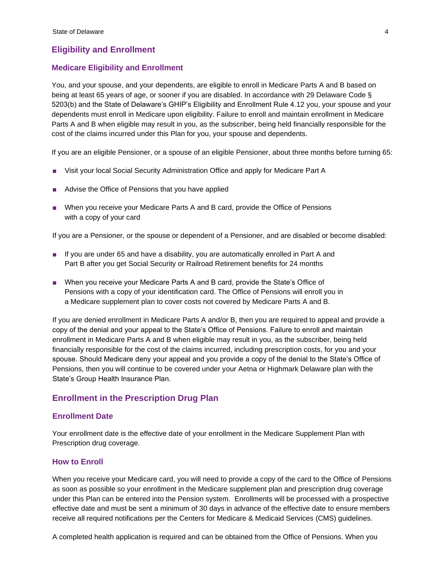### <span id="page-8-0"></span>**Eligibility and Enrollment**

#### <span id="page-8-1"></span>**Medicare Eligibility and Enrollment**

You, and your spouse, and your dependents, are eligible to enroll in Medicare Parts A and B based on being at least 65 years of age, or sooner if you are disabled. In accordance with 29 Delaware Code § 5203(b) and the State of Delaware's GHIP's Eligibility and Enrollment Rule 4.12 you, your spouse and your dependents must enroll in Medicare upon eligibility. Failure to enroll and maintain enrollment in Medicare Parts A and B when eligible may result in you, as the subscriber, being held financially responsible for the cost of the claims incurred under this Plan for you, your spouse and dependents.

If you are an eligible Pensioner, or a spouse of an eligible Pensioner, about three months before turning 65:

- Visit your local Social Security Administration Office and apply for Medicare Part A
- Advise the Office of Pensions that you have applied
- When you receive your Medicare Parts A and B card, provide the Office of Pensions with a copy of your card

If you are a Pensioner, or the spouse or dependent of a Pensioner, and are disabled or become disabled:

- If you are under 65 and have a disability, you are automatically enrolled in Part A and Part B after you get Social Security or Railroad Retirement benefits for 24 months
- When you receive your Medicare Parts A and B card, provide the State's Office of Pensions with a copy of your identification card. The Office of Pensions will enroll you in a Medicare supplement plan to cover costs not covered by Medicare Parts A and B.

If you are denied enrollment in Medicare Parts A and/or B, then you are required to appeal and provide a copy of the denial and your appeal to the State's Office of Pensions. Failure to enroll and maintain enrollment in Medicare Parts A and B when eligible may result in you, as the subscriber, being held financially responsible for the cost of the claims incurred, including prescription costs, for you and your spouse. Should Medicare deny your appeal and you provide a copy of the denial to the State's Office of Pensions, then you will continue to be covered under your Aetna or Highmark Delaware plan with the State's Group Health Insurance Plan.

### <span id="page-8-2"></span>**Enrollment in the Prescription Drug Plan**

#### <span id="page-8-3"></span>**Enrollment Date**

Your enrollment date is the effective date of your enrollment in the Medicare Supplement Plan with Prescription drug coverage.

#### <span id="page-8-4"></span>**How to Enroll**

When you receive your Medicare card, you will need to provide a copy of the card to the Office of Pensions as soon as possible so your enrollment in the Medicare supplement plan and prescription drug coverage under this Plan can be entered into the Pension system. Enrollments will be processed with a prospective effective date and must be sent a minimum of 30 days in advance of the effective date to ensure members receive all required notifications per the Centers for Medicare & Medicaid Services (CMS) guidelines.

A completed health application is required and can be obtained from the Office of Pensions. When you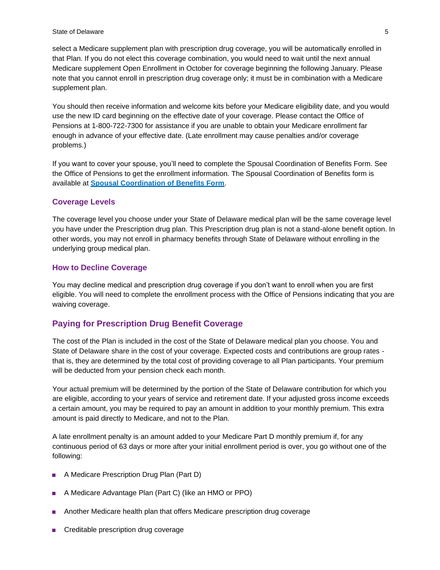#### State of Delaware 5 and  $\sim$  5 and  $\sim$  5 and  $\sim$  5 and  $\sim$  5 and  $\sim$  5 and  $\sim$  5 and  $\sim$  5 and  $\sim$  5 and  $\sim$  5 and  $\sim$  5 and  $\sim$  5 and  $\sim$  5 and  $\sim$  5 and  $\sim$  5 and  $\sim$  5 and  $\sim$  5 and  $\sim$  5 and  $\sim$  5 and

select a Medicare supplement plan with prescription drug coverage, you will be automatically enrolled in that Plan. If you do not elect this coverage combination, you would need to wait until the next annual Medicare supplement Open Enrollment in October for coverage beginning the following January. Please note that you cannot enroll in prescription drug coverage only; it must be in combination with a Medicare supplement plan.

You should then receive information and welcome kits before your Medicare eligibility date, and you would use the new ID card beginning on the effective date of your coverage. Please contact the Office of Pensions at 1-800-722-7300 for assistance if you are unable to obtain your Medicare enrollment far enough in advance of your effective date. (Late enrollment may cause penalties and/or coverage problems.)

If you want to cover your spouse, you'll need to complete the Spousal Coordination of Benefits Form. See the Office of Pensions to get the enrollment information. The Spousal Coordination of Benefits form is available at **[Spousal Coordination of Benefits Form](https://cob.dhr.delaware.gov/)**.

#### <span id="page-9-0"></span>**Coverage Levels**

The coverage level you choose under your State of Delaware medical plan will be the same coverage level you have under the Prescription drug plan. This Prescription drug plan is not a stand-alone benefit option. In other words, you may not enroll in pharmacy benefits through State of Delaware without enrolling in the underlying group medical plan.

#### <span id="page-9-1"></span>**How to Decline Coverage**

You may decline medical and prescription drug coverage if you don't want to enroll when you are first eligible. You will need to complete the enrollment process with the Office of Pensions indicating that you are waiving coverage.

#### <span id="page-9-2"></span>**Paying for Prescription Drug Benefit Coverage**

The cost of the Plan is included in the cost of the State of Delaware medical plan you choose. You and State of Delaware share in the cost of your coverage. Expected costs and contributions are group rates that is, they are determined by the total cost of providing coverage to all Plan participants. Your premium will be deducted from your pension check each month.

Your actual premium will be determined by the portion of the State of Delaware contribution for which you are eligible, according to your years of service and retirement date. If your adjusted gross income exceeds a certain amount, you may be required to pay an amount in addition to your monthly premium. This extra amount is paid directly to Medicare, and not to the Plan.

A late enrollment penalty is an amount added to your Medicare Part D monthly premium if, for any continuous period of 63 days or more after your initial enrollment period is over, you go without one of the following:

- A Medicare Prescription Drug Plan (Part D)
- A Medicare Advantage Plan (Part C) (like an HMO or PPO)
- Another Medicare health plan that offers Medicare prescription drug coverage
- [Creditable prescription drug](https://www.medicare.gov/part-d/costs/penalty/part-d-late-enrollment-penalty.html#1303) coverage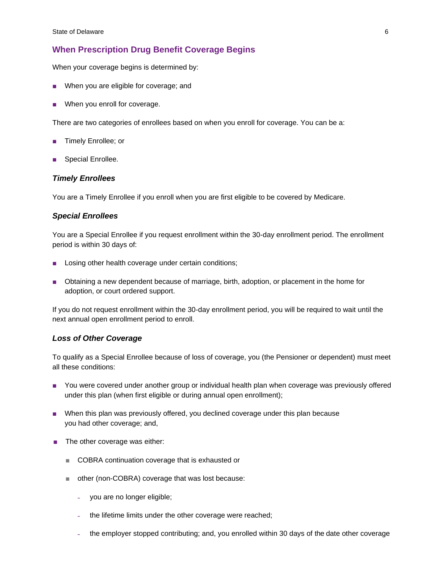### <span id="page-10-0"></span>**When Prescription Drug Benefit Coverage Begins**

When your coverage begins is determined by:

- When you are eligible for coverage; and
- When you enroll for coverage.

There are two categories of enrollees based on when you enroll for coverage. You can be a:

- Timely Enrollee; or
- Special Enrollee.

#### *Timely Enrollees*

You are a Timely Enrollee if you enroll when you are first eligible to be covered by Medicare.

#### *Special Enrollees*

You are a Special Enrollee if you request enrollment within the 30-day enrollment period. The enrollment period is within 30 days of:

- Losing other health coverage under certain conditions;
- Obtaining a new dependent because of marriage, birth, adoption, or placement in the home for adoption, or court ordered support.

If you do not request enrollment within the 30-day enrollment period, you will be required to wait until the next annual open enrollment period to enroll.

#### *Loss of Other Coverage*

To qualify as a Special Enrollee because of loss of coverage, you (the Pensioner or dependent) must meet all these conditions:

- You were covered under another group or individual health plan when coverage was previously offered under this plan (when first eligible or during annual open enrollment);
- When this plan was previously offered, you declined coverage under this plan because you had other coverage; and,
- The other coverage was either:
	- *■* COBRA continuation coverage that is exhausted or
	- *■* other (non-COBRA) coverage that was lost because:
		- you are no longer eligible;
		- ˗ the lifetime limits under the other coverage were reached;
		- ˗ the employer stopped contributing; and, you enrolled within 30 days of the date other coverage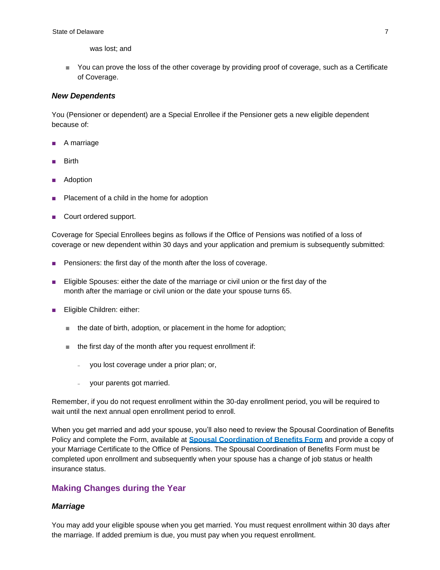was lost; and

■ You can prove the loss of the other coverage by providing proof of coverage, such as a Certificate of Coverage.

#### *New Dependents*

You (Pensioner or dependent) are a Special Enrollee if the Pensioner gets a new eligible dependent because of:

- A marriage
- **Birth**
- **Adoption**
- Placement of a child in the home for adoption
- Court ordered support.

Coverage for Special Enrollees begins as follows if the Office of Pensions was notified of a loss of coverage or new dependent within 30 days and your application and premium is subsequently submitted:

- Pensioners: the first day of the month after the loss of coverage.
- Eligible Spouses: either the date of the marriage or civil union or the first day of the month after the marriage or civil union or the date your spouse turns 65.
- Eligible Children: either:
	- *■* the date of birth, adoption, or placement in the home for adoption;
	- *■* the first day of the month after you request enrollment if:
		- ˗ you lost coverage under a prior plan; or,
		- your parents got married.

Remember, if you do not request enrollment within the 30-day enrollment period, you will be required to wait until the next annual open enrollment period to enroll.

When you get married and add your spouse, you'll also need to review the Spousal Coordination of Benefits Policy and complete the Form, available at **[Spousal Coordination of Benefits Form](https://cob.dhr.delaware.gov/)** and provide a copy of your Marriage Certificate to the Office of Pensions. The Spousal Coordination of Benefits Form must be completed upon enrollment and subsequently when your spouse has a change of job status or health insurance status.

### <span id="page-11-0"></span>**Making Changes during the Year**

#### *Marriage*

You may add your eligible spouse when you get married. You must request enrollment within 30 days after the marriage. If added premium is due, you must pay when you request enrollment.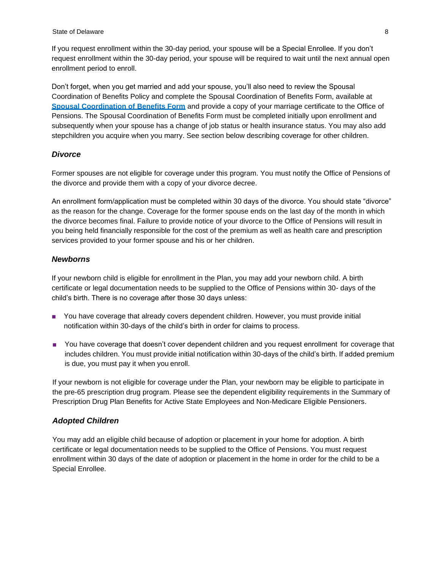If you request enrollment within the 30-day period, your spouse will be a Special Enrollee. If you don't request enrollment within the 30-day period, your spouse will be required to wait until the next annual open enrollment period to enroll.

Don't forget, when you get married and add your spouse, you'll also need to review the Spousal Coordination of Benefits Policy and complete the Spousal Coordination of Benefits Form, available at **[Spousal Coordination of Benefits Form](https://cob.dhr.delaware.gov/)** and provide a copy of your marriage certificate to the Office of Pensions. The Spousal Coordination of Benefits Form must be completed initially upon enrollment and subsequently when your spouse has a change of job status or health insurance status. You may also add stepchildren you acquire when you marry. See section below describing coverage for other children.

#### *Divorce*

Former spouses are not eligible for coverage under this program. You must notify the Office of Pensions of the divorce and provide them with a copy of your divorce decree.

An enrollment form/application must be completed within 30 days of the divorce. You should state "divorce" as the reason for the change. Coverage for the former spouse ends on the last day of the month in which the divorce becomes final. Failure to provide notice of your divorce to the Office of Pensions will result in you being held financially responsible for the cost of the premium as well as health care and prescription services provided to your former spouse and his or her children.

#### *Newborns*

If your newborn child is eligible for enrollment in the Plan, you may add your newborn child. A birth certificate or legal documentation needs to be supplied to the Office of Pensions within 30- days of the child's birth. There is no coverage after those 30 days unless:

- You have coverage that already covers dependent children. However, you must provide initial notification within 30-days of the child's birth in order for claims to process.
- You have coverage that doesn't cover dependent children and you request enrollment for coverage that includes children. You must provide initial notification within 30-days of the child's birth. If added premium is due, you must pay it when you enroll.

If your newborn is not eligible for coverage under the Plan, your newborn may be eligible to participate in the pre-65 prescription drug program. Please see the dependent eligibility requirements in the Summary of Prescription Drug Plan Benefits for Active State Employees and Non-Medicare Eligible Pensioners.

#### *Adopted Children*

You may add an eligible child because of adoption or placement in your home for adoption. A birth certificate or legal documentation needs to be supplied to the Office of Pensions. You must request enrollment within 30 days of the date of adoption or placement in the home in order for the child to be a Special Enrollee.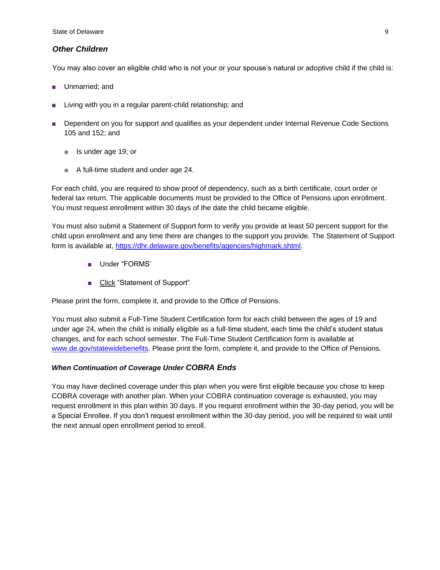#### *Other Children*

You may also cover an eligible child who is not your or your spouse's natural or adoptive child if the child is:

- Unmarried; and
- Living with you in a regular parent-child relationship; and
- Dependent on you for support and qualifies as your dependent under Internal Revenue Code Sections 105 and 152; and
	- *■* Is under age 19; or
	- *■* A full-time student and under age 24.

For each child, you are required to show proof of dependency, such as a birth certificate, court order or federal tax return. The applicable documents must be provided to the Office of Pensions upon enrollment. You must request enrollment within 30 days of the date the child became eligible.

You must also submit a Statement of Support form to verify you provide at least 50 percent support for the child upon enrollment and any time there are changes to the support you provide. The Statement of Support form is available at, [https://dhr.delaware.gov/benefits/agencies/highmark.shtml.](https://dhr.delaware.gov/benefits/agencies/highmark.shtml)

- Under "FORMS'
- Click "Statement of Support"

Please print the form, complete it, and provide to the Office of Pensions.

You must also submit a Full-Time Student Certification form for each child between the ages of 19 and under age 24, when the child is initially eligible as a full-time student, each time the child's student status changes, and for each school semester. The Full-Time Student Certification form is available at [www.de.gov/statewidebenefits. P](http://www.de.gov/statewidebenefits)lease print the form, complete it, and provide to the Office of Pensions.

#### *When Continuation of Coverage Under COBRA Ends*

You may have declined coverage under this plan when you were first eligible because you chose to keep COBRA coverage with another plan. When your COBRA continuation coverage is exhausted, you may request enrollment in this plan within 30 days. If you request enrollment within the 30-day period, you will be a Special Enrollee. If you don't request enrollment within the 30-day period, you will be required to wait until the next annual open enrollment period to enroll.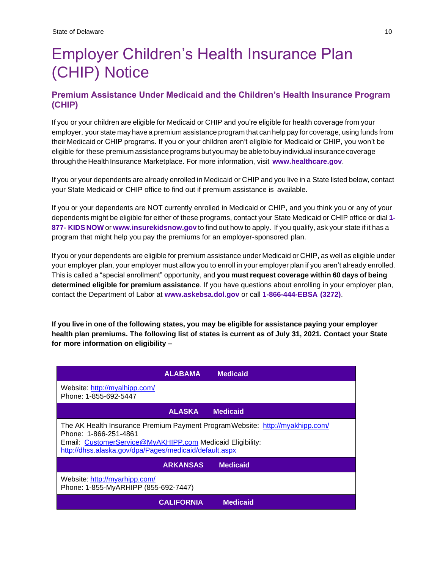## <span id="page-14-0"></span>Employer Children's Health Insurance Plan (CHIP) Notice

## <span id="page-14-1"></span>**Premium Assistance Under Medicaid and the Children's Health Insurance Program (CHIP)**

If you or your children are eligible for Medicaid or CHIP and you're eligible for health coverage from your employer, your state may have a premium assistance program that can help pay for coverage, using funds from their Medicaid or CHIP programs. If you or your children aren't eligible for Medicaid or CHIP, you won't be eligible for these premium assistance programs but you may be able to buy individual insurancecoverage through theHealth Insurance Marketplace. For more information, visit **[www.healthcare.gov](http://www.healthcare.gov/)**.

If you or your dependents are already enrolled in Medicaid or CHIP and you live in a State listed below, contact your State Medicaid or CHIP office to find out if premium assistance is available.

If you or your dependents are NOT currently enrolled in Medicaid or CHIP, and you think you or any of your dependents might be eligible for either of these programs, contact your State Medicaid or CHIP office or dial **1- 877- KIDS NOW** or **[www.insurekidsnow.gov](http://www.insurekidsnow.gov/)** to find out how to apply. If you qualify, ask your state if it has a program that might help you pay the premiums for an employer-sponsored plan.

If you or your dependents are eligible for premium assistance under Medicaid or CHIP, as well as eligible under your employer plan, your employer must allow you to enroll in your employer plan if you aren't already enrolled. This is called a "special enrollment" opportunity, and **you must request coverage within 60 days of being determined eligible for premium assistance**. If you have questions about enrolling in your employer plan, contact the Department of Labor at **[www.askebsa.dol.gov](http://www.askebsa.dol.gov/)** or call **1-866-444-EBSA (3272)**.

If you live in one of the following states, you may be eligible for assistance paying your employer **health plan premiums. The following list of states is current as of July 31, 2021. Contact your State for more information on eligibility –**

|                                                                                                                                                                                                                               | <b>ALABAMA</b>    | <b>Medicaid</b> |  |  |
|-------------------------------------------------------------------------------------------------------------------------------------------------------------------------------------------------------------------------------|-------------------|-----------------|--|--|
| Website: http://myalhipp.com/<br>Phone: 1-855-692-5447                                                                                                                                                                        |                   |                 |  |  |
|                                                                                                                                                                                                                               | <b>ALASKA</b>     | <b>Medicaid</b> |  |  |
| The AK Health Insurance Premium Payment Program Website: http://myakhipp.com/<br>Phone: 1-866-251-4861<br>Email: CustomerService@MyAKHIPP.com Medicaid Eligibility:<br>http://dhss.alaska.gov/dpa/Pages/medicaid/default.aspx |                   |                 |  |  |
|                                                                                                                                                                                                                               | <b>ARKANSAS</b>   | <b>Medicaid</b> |  |  |
| Website: http://myarhipp.com/<br>Phone: 1-855-MyARHIPP (855-692-7447)                                                                                                                                                         |                   |                 |  |  |
|                                                                                                                                                                                                                               | <b>CALIFORNIA</b> | <b>Medicaid</b> |  |  |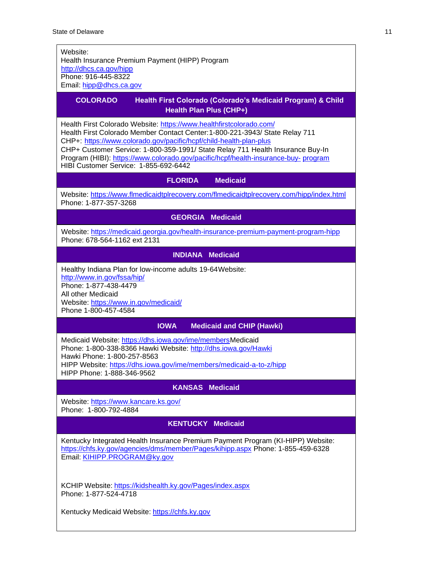$\mathsf{l}$ 

| Website:<br>Health Insurance Premium Payment (HIPP) Program<br>http://dhcs.ca.gov/hipp<br>Phone: 916-445-8322                                                                                                                                                                                                                                                                                                                               |  |  |  |  |
|---------------------------------------------------------------------------------------------------------------------------------------------------------------------------------------------------------------------------------------------------------------------------------------------------------------------------------------------------------------------------------------------------------------------------------------------|--|--|--|--|
| Email: hipp@dhcs.ca.gov                                                                                                                                                                                                                                                                                                                                                                                                                     |  |  |  |  |
| <b>COLORADO</b><br>Health First Colorado (Colorado's Medicaid Program) & Child<br>Health Plan Plus (CHP+)                                                                                                                                                                                                                                                                                                                                   |  |  |  |  |
| Health First Colorado Website: https://www.healthfirstcolorado.com/<br>Health First Colorado Member Contact Center: 1-800-221-3943/ State Relay 711<br>CHP+: https://www.colorado.gov/pacific/hcpf/child-health-plan-plus<br>CHP+ Customer Service: 1-800-359-1991/ State Relay 711 Health Insurance Buy-In<br>Program (HIBI): https://www.colorado.gov/pacific/hcpf/health-insurance-buy- program<br>HIBI Customer Service: 1-855-692-6442 |  |  |  |  |
| <b>Medicaid</b><br><b>FLORIDA</b>                                                                                                                                                                                                                                                                                                                                                                                                           |  |  |  |  |
| Website: https://www.flmedicaidtplrecovery.com/flmedicaidtplrecovery.com/hipp/index.html<br>Phone: 1-877-357-3268                                                                                                                                                                                                                                                                                                                           |  |  |  |  |
| <b>GEORGIA Medicaid</b>                                                                                                                                                                                                                                                                                                                                                                                                                     |  |  |  |  |
| Website: https://medicaid.georgia.gov/health-insurance-premium-payment-program-hipp<br>Phone: 678-564-1162 ext 2131                                                                                                                                                                                                                                                                                                                         |  |  |  |  |
| <b>INDIANA Medicaid</b>                                                                                                                                                                                                                                                                                                                                                                                                                     |  |  |  |  |
| Healthy Indiana Plan for low-income adults 19-64 Website:<br>http://www.in.gov/fssa/hip/<br>Phone: 1-877-438-4479<br>All other Medicaid<br>Website: https://www.in.gov/medicaid/<br>Phone 1-800-457-4584                                                                                                                                                                                                                                    |  |  |  |  |
| <b>IOWA</b><br><b>Medicaid and CHIP (Hawki)</b>                                                                                                                                                                                                                                                                                                                                                                                             |  |  |  |  |
| Medicaid Website: https://dhs.iowa.gov/ime/membersMedicaid<br>Phone: 1-800-338-8366 Hawki Website: http://dhs.iowa.gov/Hawki<br>Hawki Phone: 1-800-257-8563<br>HIPP Website: https://dhs.iowa.gov/ime/members/medicaid-a-to-z/hipp<br>HIPP Phone: 1-888-346-9562                                                                                                                                                                            |  |  |  |  |
| <b>KANSAS Medicaid</b>                                                                                                                                                                                                                                                                                                                                                                                                                      |  |  |  |  |
| Website: https://www.kancare.ks.gov/<br>Phone: 1-800-792-4884                                                                                                                                                                                                                                                                                                                                                                               |  |  |  |  |
| <b>Medicaid</b><br><b>KENTUCKY</b>                                                                                                                                                                                                                                                                                                                                                                                                          |  |  |  |  |
| Kentucky Integrated Health Insurance Premium Payment Program (KI-HIPP) Website:<br>https://chfs.ky.gov/agencies/dms/member/Pages/kihipp.aspx Phone: 1-855-459-6328<br>Email: KIHIPP.PROGRAM@ky.gov                                                                                                                                                                                                                                          |  |  |  |  |
| KCHIP Website: https://kidshealth.ky.gov/Pages/index.aspx<br>Phone: 1-877-524-4718<br>Kentucky Medicaid Website: https://chfs.ky.gov                                                                                                                                                                                                                                                                                                        |  |  |  |  |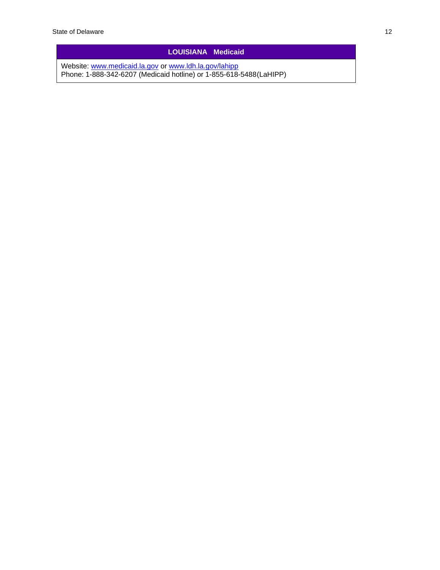#### **LOUISIANA Medicaid**

Website: [www.medicaid.la.gov](http://www.medicaid.la.gov/) or [www.ldh.la.gov/lahipp](http://www.ldh.la.gov/lahipp) Phone: 1-888-342-6207 (Medicaid hotline) or 1-855-618-5488(LaHIPP)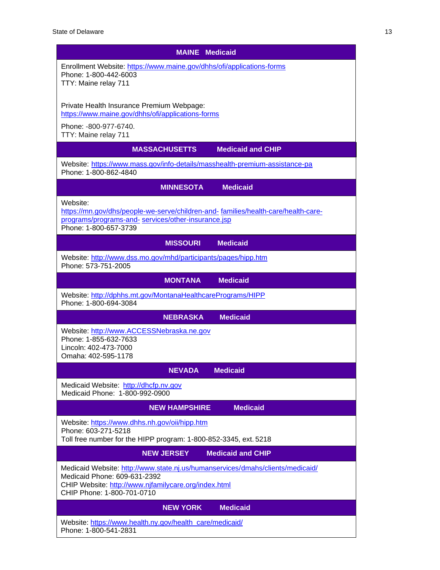| <b>MAINE</b> Medicaid                                                                                                                                                                                |  |  |  |
|------------------------------------------------------------------------------------------------------------------------------------------------------------------------------------------------------|--|--|--|
| Enrollment Website: https://www.maine.gov/dhhs/ofi/applications-forms<br>Phone: 1-800-442-6003<br>TTY: Maine relay 711                                                                               |  |  |  |
| Private Health Insurance Premium Webpage:<br>https://www.maine.gov/dhhs/ofi/applications-forms                                                                                                       |  |  |  |
| Phone: -800-977-6740.<br>TTY: Maine relay 711                                                                                                                                                        |  |  |  |
| <b>MASSACHUSETTS</b><br><b>Medicaid and CHIP</b>                                                                                                                                                     |  |  |  |
| Website: https://www.mass.gov/info-details/masshealth-premium-assistance-pa<br>Phone: 1-800-862-4840                                                                                                 |  |  |  |
| <b>Medicaid</b><br><b>MINNESOTA</b>                                                                                                                                                                  |  |  |  |
| Website:<br>https://mn.gov/dhs/people-we-serve/children-and-families/health-care/health-care-<br>programs/programs-and- services/other-insurance.jsp<br>Phone: 1-800-657-3739                        |  |  |  |
| <b>Medicaid</b><br><b>MISSOURI</b>                                                                                                                                                                   |  |  |  |
| Website: http://www.dss.mo.gov/mhd/participants/pages/hipp.htm<br>Phone: 573-751-2005                                                                                                                |  |  |  |
| <b>MONTANA</b><br><b>Medicaid</b>                                                                                                                                                                    |  |  |  |
| Website: http://dphhs.mt.gov/MontanaHealthcarePrograms/HIPP<br>Phone: 1-800-694-3084                                                                                                                 |  |  |  |
| <b>Medicaid</b><br><b>NEBRASKA</b>                                                                                                                                                                   |  |  |  |
| Website: http://www.ACCESSNebraska.ne.gov<br>Phone: 1-855-632-7633<br>Lincoln: 402-473-7000<br>Omaha: 402-595-1178                                                                                   |  |  |  |
| <b>Medicaid</b><br><b>NEVADA</b>                                                                                                                                                                     |  |  |  |
| Medicaid Website: http://dhcfp.nv.gov<br>Medicaid Phone: 1-800-992-0900                                                                                                                              |  |  |  |
| <b>NEW HAMPSHIRE</b><br><b>Medicaid</b>                                                                                                                                                              |  |  |  |
| Website: https://www.dhhs.nh.gov/oii/hipp.htm<br>Phone: 603-271-5218<br>Toll free number for the HIPP program: 1-800-852-3345, ext. 5218                                                             |  |  |  |
| <b>Medicaid and CHIP</b><br><b>NEW JERSEY</b>                                                                                                                                                        |  |  |  |
| Medicaid Website: http://www.state.nj.us/humanservices/dmahs/clients/medicaid/<br>Medicaid Phone: 609-631-2392<br>CHIP Website: http://www.njfamilycare.org/index.html<br>CHIP Phone: 1-800-701-0710 |  |  |  |
| <b>Medicaid</b><br><b>NEW YORK</b>                                                                                                                                                                   |  |  |  |
| Website: https://www.health.ny.gov/health_care/medicaid/<br>Phone: 1-800-541-2831                                                                                                                    |  |  |  |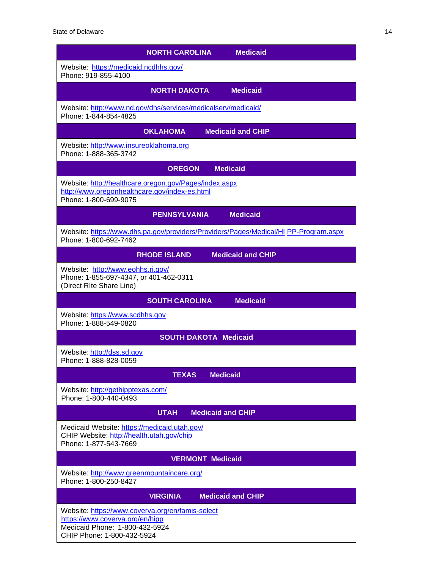| <b>Medicaid</b><br><b>NORTH CAROLINA</b>                                                                                                            |
|-----------------------------------------------------------------------------------------------------------------------------------------------------|
| Website: https://medicaid.ncdhhs.gov/<br>Phone: 919-855-4100                                                                                        |
| <b>NORTH DAKOTA</b><br><b>Medicaid</b>                                                                                                              |
| Website: http://www.nd.gov/dhs/services/medicalserv/medicaid/<br>Phone: 1-844-854-4825                                                              |
| <b>OKLAHOMA</b><br><b>Medicaid and CHIP</b>                                                                                                         |
| Website: http://www.insureoklahoma.org<br>Phone: 1-888-365-3742                                                                                     |
| <b>Medicaid</b><br><b>OREGON</b>                                                                                                                    |
| Website: http://healthcare.oregon.gov/Pages/index.aspx<br>http://www.oregonhealthcare.gov/index-es.html<br>Phone: 1-800-699-9075                    |
| <b>Medicaid</b><br><b>PENNSYLVANIA</b>                                                                                                              |
| Website: https://www.dhs.pa.gov/providers/Providers/Pages/Medical/HI PP-Program.aspx<br>Phone: 1-800-692-7462                                       |
| <b>Medicaid and CHIP</b><br><b>RHODE ISLAND</b>                                                                                                     |
| Website: http://www.eohhs.ri.gov/<br>Phone: 1-855-697-4347, or 401-462-0311<br>(Direct RIte Share Line)                                             |
| <b>Medicaid</b><br><b>SOUTH CAROLINA</b>                                                                                                            |
| Website: https://www.scdhhs.gov<br>Phone: 1-888-549-0820                                                                                            |
| <b>SOUTH DAKOTA Medicaid</b>                                                                                                                        |
| Website: http://dss.sd.gov<br>Phone: 1-888-828-0059                                                                                                 |
| <b>TEXAS</b><br><b>Medicaid</b>                                                                                                                     |
| Website: http://gethipptexas.com/<br>Phone: 1-800-440-0493                                                                                          |
| <b>UTAH</b><br><b>Medicaid and CHIP</b>                                                                                                             |
| Medicaid Website: https://medicaid.utah.gov/<br>CHIP Website: http://health.utah.gov/chip<br>Phone: 1-877-543-7669                                  |
| <b>VERMONT Medicaid</b>                                                                                                                             |
| Website: http://www.greenmountaincare.org/<br>Phone: 1-800-250-8427                                                                                 |
| <b>Medicaid and CHIP</b><br><b>VIRGINIA</b>                                                                                                         |
| Website: https://www.coverva.org/en/famis-select<br>https://www.coverva.org/en/hipp<br>Medicaid Phone: 1-800-432-5924<br>CHIP Phone: 1-800-432-5924 |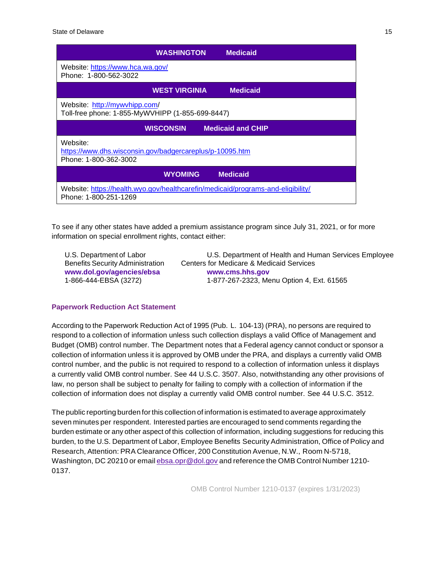|                                                                                                           | WASHINGTON           | <b>Medicaid</b>          |
|-----------------------------------------------------------------------------------------------------------|----------------------|--------------------------|
| Website: https://www.hca.wa.gov/<br>Phone: 1-800-562-3022                                                 |                      |                          |
|                                                                                                           | <b>WEST VIRGINIA</b> | <b>Medicaid</b>          |
| Website: http://mywvhipp.com/<br>Toll-free phone: 1-855-MyWVHIPP (1-855-699-8447)                         |                      |                          |
| <b>WISCONSIN</b>                                                                                          |                      | <b>Medicaid and CHIP</b> |
| Website:<br>https://www.dhs.wisconsin.gov/badgercareplus/p-10095.htm<br>Phone: 1-800-362-3002             |                      |                          |
|                                                                                                           | <b>WYOMING</b>       | <b>Medicaid</b>          |
| Website: https://health.wyo.gov/healthcarefin/medicaid/programs-and-eligibility/<br>Phone: 1-800-251-1269 |                      |                          |

To see if any other states have added a premium assistance program since July 31, 2021, or for more information on special enrollment rights, contact either:

**[www.dol.gov/agencies/ebsa](http://www.dol.gov/agencies/ebsa) [www.cms.hhs.gov](http://www.cms.hhs.gov/)**

U.S. Department of Labor U.S. Department of Health and Human Services Employee Benefits Security Administration Centers for Medicare & Medicaid Services 1-866-444-EBSA (3272) 1-877-267-2323, Menu Option 4, Ext. 61565

#### **Paperwork Reduction Act Statement**

According to the Paperwork Reduction Act of 1995 (Pub. L. 104-13) (PRA), no persons are required to respond to a collection of information unless such collection displays a valid Office of Management and Budget (OMB) control number. The Department notes that a Federal agency cannot conduct or sponsor a collection of information unless it is approved by OMB under the PRA, and displays a currently valid OMB control number, and the public is not required to respond to a collection of information unless it displays a currently valid OMB control number. See 44 U.S.C. 3507. Also, notwithstanding any other provisions of law, no person shall be subject to penalty for failing to comply with a collection of information if the collection of information does not display a currently valid OMB control number. See 44 U.S.C. 3512.

The public reporting burden forthis collection of information is estimated to average approximately seven minutes per respondent. Interested parties are encouraged to send comments regarding the burden estimate or any other aspect of this collection of information, including suggestions for reducing this burden, to the U.S. Department of Labor, Employee Benefits Security Administration, Office of Policy and Research, Attention: PRA Clearance Officer, 200 Constitution Avenue, N.W., Room N-5718, Washington, DC 20210 or email [ebsa.opr@dol.gov](mailto:ebsa.opr@dol.gov) and reference the OMB Control Number 1210- 0137.

OMB Control Number 1210-0137 (expires 1/31/2023)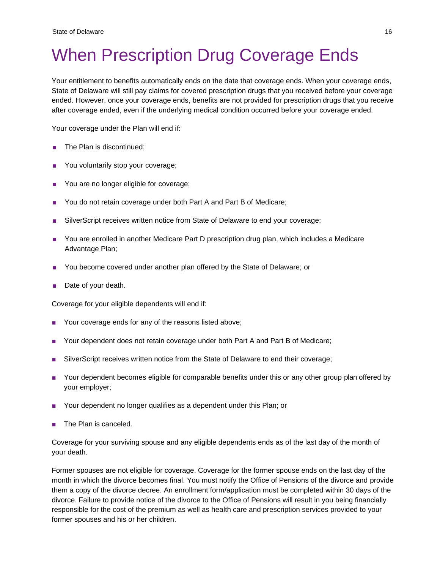# <span id="page-20-0"></span>When Prescription Drug Coverage Ends

Your entitlement to benefits automatically ends on the date that coverage ends. When your coverage ends, State of Delaware will still pay claims for covered prescription drugs that you received before your coverage ended. However, once your coverage ends, benefits are not provided for prescription drugs that you receive after coverage ended, even if the underlying medical condition occurred before your coverage ended.

Your coverage under the Plan will end if:

- The Plan is discontinued;
- You voluntarily stop your coverage;
- You are no longer eligible for coverage;
- You do not retain coverage under both Part A and Part B of Medicare;
- SilverScript receives written notice from State of Delaware to end your coverage;
- You are enrolled in another Medicare Part D prescription drug plan, which includes a Medicare Advantage Plan;
- You become covered under another plan offered by the State of Delaware; or
- Date of your death.

Coverage for your eligible dependents will end if:

- Your coverage ends for any of the reasons listed above;
- Your dependent does not retain coverage under both Part A and Part B of Medicare;
- SilverScript receives written notice from the State of Delaware to end their coverage;
- Your dependent becomes eligible for comparable benefits under this or any other group plan offered by your employer;
- Your dependent no longer qualifies as a dependent under this Plan; or
- The Plan is canceled.

Coverage for your surviving spouse and any eligible dependents ends as of the last day of the month of your death.

Former spouses are not eligible for coverage. Coverage for the former spouse ends on the last day of the month in which the divorce becomes final. You must notify the Office of Pensions of the divorce and provide them a copy of the divorce decree. An enrollment form/application must be completed within 30 days of the divorce. Failure to provide notice of the divorce to the Office of Pensions will result in you being financially responsible for the cost of the premium as well as health care and prescription services provided to your former spouses and his or her children.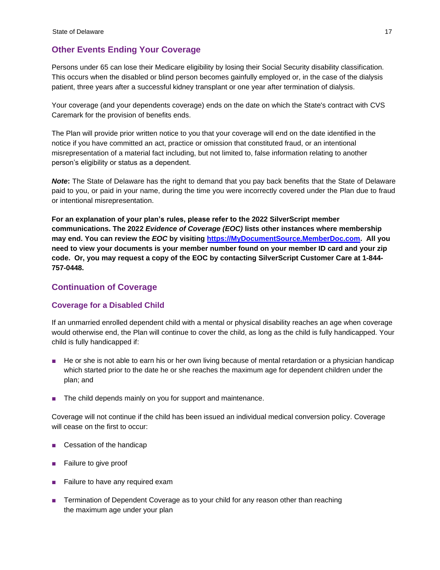## <span id="page-21-0"></span>**Other Events Ending Your Coverage**

Persons under 65 can lose their Medicare eligibility by losing their Social Security disability classification. This occurs when the disabled or blind person becomes gainfully employed or, in the case of the dialysis patient, three years after a successful kidney transplant or one year after termination of dialysis.

Your coverage (and your dependents coverage) ends on the date on which the State's contract with CVS Caremark for the provision of benefits ends.

The Plan will provide prior written notice to you that your coverage will end on the date identified in the notice if you have committed an act, practice or omission that constituted fraud, or an intentional misrepresentation of a material fact including, but not limited to, false information relating to another person's eligibility or status as a dependent.

*Note***:** The State of Delaware has the right to demand that you pay back benefits that the State of Delaware paid to you, or paid in your name, during the time you were incorrectly covered under the Plan due to fraud or intentional misrepresentation.

**For an explanation of your plan's rules, please refer to the 2022 SilverScript member communications. The 2022** *Evidence of Coverage (EOC)* **lists other instances where membership may end. You can review the** *EOC* **by visiting [https://MyDocumentSource.MemberDoc.com.](https://mydocumentsource.memberdoc.com/) All you need to view your documents is your member number found on your member ID card and your zip code. Or, you may request a copy of the EOC by contacting SilverScript Customer Care at 1-844- 757-0448.**

## <span id="page-21-1"></span>**Continuation of Coverage**

## <span id="page-21-2"></span>**Coverage for a Disabled Child**

If an unmarried enrolled dependent child with a mental or physical disability reaches an age when coverage would otherwise end, the Plan will continue to cover the child, as long as the child is fully handicapped. Your child is fully handicapped if:

- He or she is not able to earn his or her own living because of mental retardation or a physician handicap which started prior to the date he or she reaches the maximum age for dependent children under the plan; and
- The child depends mainly on you for support and maintenance.

Coverage will not continue if the child has been issued an individual medical conversion policy. Coverage will cease on the first to occur:

- Cessation of the handicap
- Failure to give proof
- Failure to have any required exam
- Termination of Dependent Coverage as to your child for any reason other than reaching the maximum age under your plan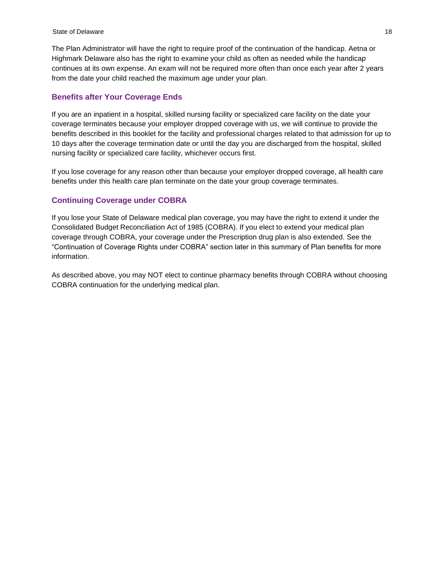The Plan Administrator will have the right to require proof of the continuation of the handicap. Aetna or Highmark Delaware also has the right to examine your child as often as needed while the handicap continues at its own expense. An exam will not be required more often than once each year after 2 years from the date your child reached the maximum age under your plan.

#### <span id="page-22-0"></span>**Benefits after Your Coverage Ends**

If you are an inpatient in a hospital, skilled nursing facility or specialized care facility on the date your coverage terminates because your employer dropped coverage with us, we will continue to provide the benefits described in this booklet for the facility and professional charges related to that admission for up to 10 days after the coverage termination date or until the day you are discharged from the hospital, skilled nursing facility or specialized care facility, whichever occurs first.

If you lose coverage for any reason other than because your employer dropped coverage, all health care benefits under this health care plan terminate on the date your group coverage terminates.

#### <span id="page-22-1"></span>**Continuing Coverage under COBRA**

If you lose your State of Delaware medical plan coverage, you may have the right to extend it under the Consolidated Budget Reconciliation Act of 1985 (COBRA). If you elect to extend your medical plan coverage through COBRA, your coverage under the Prescription drug plan is also extended. See the "Continuation of Coverage Rights under COBRA" section later in this summary of Plan benefits for more information.

As described above, you may NOT elect to continue pharmacy benefits through COBRA without choosing COBRA continuation for the underlying medical plan.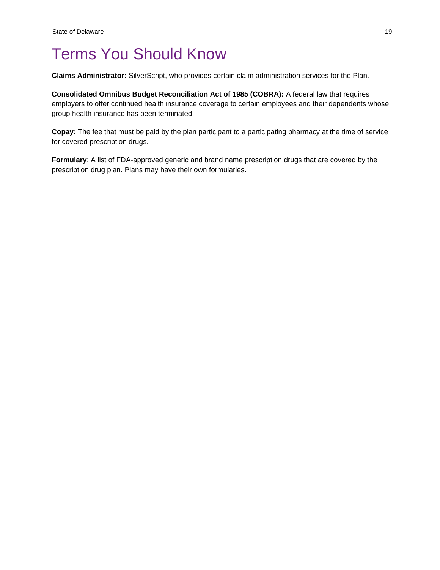## <span id="page-23-0"></span>Terms You Should Know

**Claims Administrator:** SilverScript, who provides certain claim administration services for the Plan.

**Consolidated Omnibus Budget Reconciliation Act of 1985 (COBRA):** A federal law that requires employers to offer continued health insurance coverage to certain employees and their dependents whose group health insurance has been terminated.

**Copay:** The fee that must be paid by the plan participant to a participating pharmacy at the time of service for covered prescription drugs.

**Formulary**: A list of FDA-approved generic and brand name prescription drugs that are covered by the prescription drug plan. Plans may have their own formularies.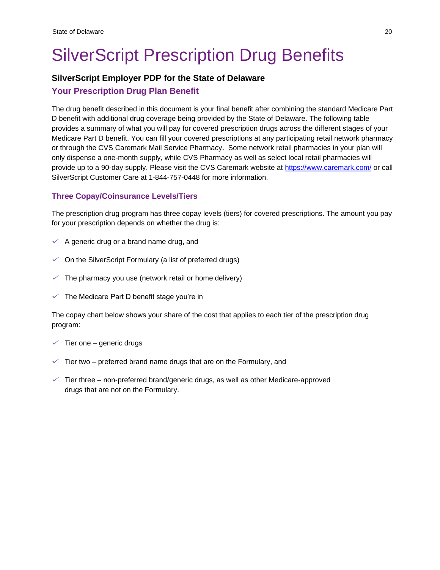# <span id="page-24-0"></span>SilverScript Prescription Drug Benefits

## **SilverScript Employer PDP for the State of Delaware**

## <span id="page-24-1"></span>**Your Prescription Drug Plan Benefit**

The drug benefit described in this document is your final benefit after combining the standard Medicare Part D benefit with additional drug coverage being provided by the State of Delaware. The following table provides a summary of what you will pay for covered prescription drugs across the different stages of your Medicare Part D benefit. You can fill your covered prescriptions at any participating retail network pharmacy or through the CVS Caremark Mail Service Pharmacy. Some network retail pharmacies in your plan will only dispense a one-month supply, while CVS Pharmacy as well as select local retail pharmacies will provide up to a 90-day supply. Please visit the CVS Caremark website at<https://www.caremark.com/> or call SilverScript Customer Care at 1-844-757-0448 for more information.

## <span id="page-24-2"></span>**Three Copay/Coinsurance Levels/Tiers**

The prescription drug program has three copay levels (tiers) for covered prescriptions. The amount you pay for your prescription depends on whether the drug is:

- $\checkmark$  A generic drug or a brand name drug, and
- $\checkmark$  On the SilverScript Formulary (a list of preferred drugs)
- $\checkmark$  The pharmacy you use (network retail or home delivery)
- $\checkmark$  The Medicare Part D benefit stage you're in

The copay chart below shows your share of the cost that applies to each tier of the prescription drug program:

- $\checkmark$  Tier one generic drugs
- $\checkmark$  Tier two preferred brand name drugs that are on the Formulary, and
- $\checkmark$  Tier three non-preferred brand/generic drugs, as well as other Medicare-approved drugs that are not on the Formulary.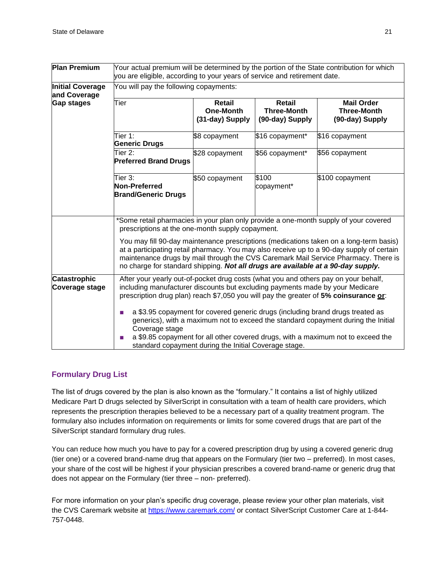| <b>Plan Premium</b>                     | Your actual premium will be determined by the portion of the State contribution for which<br>you are eligible, according to your years of service and retirement date.                                                                                                                                                                                        |                                                      |                                                        |                                                            |
|-----------------------------------------|---------------------------------------------------------------------------------------------------------------------------------------------------------------------------------------------------------------------------------------------------------------------------------------------------------------------------------------------------------------|------------------------------------------------------|--------------------------------------------------------|------------------------------------------------------------|
| <b>Initial Coverage</b><br>and Coverage | You will pay the following copayments:                                                                                                                                                                                                                                                                                                                        |                                                      |                                                        |                                                            |
| Gap stages                              | Tier                                                                                                                                                                                                                                                                                                                                                          | <b>Retail</b><br><b>One-Month</b><br>(31-day) Supply | <b>Retail</b><br><b>Three-Month</b><br>(90-day) Supply | <b>Mail Order</b><br><b>Three-Month</b><br>(90-day) Supply |
|                                         | Tier 1:<br><b>Generic Drugs</b>                                                                                                                                                                                                                                                                                                                               | \$8 copayment                                        | \$16 copayment*                                        | \$16 copayment                                             |
|                                         | Tier 2:<br><b>Preferred Brand Drugs</b>                                                                                                                                                                                                                                                                                                                       | \$28 copayment                                       | \$56 copayment*                                        | \$56 copayment                                             |
|                                         | Tier 3:<br>Non-Preferred<br><b>Brand/Generic Drugs</b>                                                                                                                                                                                                                                                                                                        | \$50 copayment                                       | \$100<br>copayment*                                    | \$100 copayment                                            |
|                                         | *Some retail pharmacies in your plan only provide a one-month supply of your covered<br>prescriptions at the one-month supply copayment.                                                                                                                                                                                                                      |                                                      |                                                        |                                                            |
|                                         | You may fill 90-day maintenance prescriptions (medications taken on a long-term basis)<br>at a participating retail pharmacy. You may also receive up to a 90-day supply of certain<br>maintenance drugs by mail through the CVS Caremark Mail Service Pharmacy. There is<br>no charge for standard shipping. Not all drugs are available at a 90-day supply. |                                                      |                                                        |                                                            |
| <b>Catastrophic</b><br>Coverage stage   | After your yearly out-of-pocket drug costs (what you and others pay on your behalf,<br>including manufacturer discounts but excluding payments made by your Medicare<br>prescription drug plan) reach \$7,050 you will pay the greater of 5% coinsurance or:                                                                                                  |                                                      |                                                        |                                                            |
|                                         | a \$3.95 copayment for covered generic drugs (including brand drugs treated as<br>generics), with a maximum not to exceed the standard copayment during the Initial<br>Coverage stage<br>a \$9.85 copayment for all other covered drugs, with a maximum not to exceed the<br>standard copayment during the Initial Coverage stage.                            |                                                      |                                                        |                                                            |

## <span id="page-25-0"></span>**Formulary Drug List**

The list of drugs covered by the plan is also known as the "formulary." It contains a list of highly utilized Medicare Part D drugs selected by SilverScript in consultation with a team of health care providers, which represents the prescription therapies believed to be a necessary part of a quality treatment program. The formulary also includes information on requirements or limits for some covered drugs that are part of the SilverScript standard formulary drug rules.

You can reduce how much you have to pay for a covered prescription drug by using a covered generic drug (tier one) or a covered brand-name drug that appears on the Formulary (tier two – preferred). In most cases, your share of the cost will be highest if your physician prescribes a covered brand-name or generic drug that does not appear on the Formulary (tier three – non- preferred).

For more information on your plan's specific drug coverage, please review your other plan materials, visit the CVS Caremark website at<https://www.caremark.com/> or contact SilverScript Customer Care at 1-844-757-0448.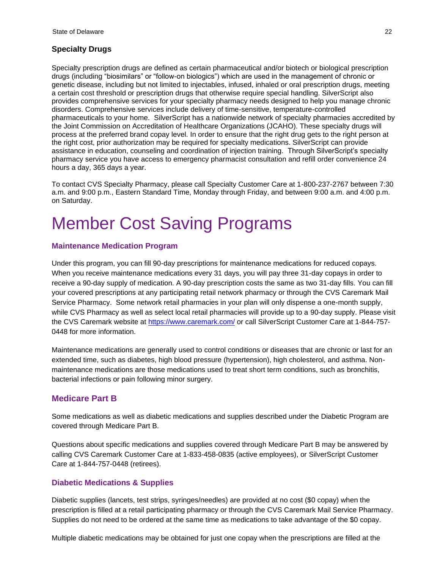#### **Specialty Drugs**

Specialty prescription drugs are defined as certain pharmaceutical and/or biotech or biological prescription drugs (including "biosimilars" or "follow-on biologics") which are used in the management of chronic or genetic disease, including but not limited to injectables, infused, inhaled or oral prescription drugs, meeting a certain cost threshold or prescription drugs that otherwise require special handling. SilverScript also provides comprehensive services for your specialty pharmacy needs designed to help you manage chronic disorders. Comprehensive services include delivery of time-sensitive, temperature-controlled pharmaceuticals to your home. SilverScript has a nationwide network of specialty pharmacies accredited by the Joint Commission on Accreditation of Healthcare Organizations (JCAHO). These specialty drugs will process at the preferred brand copay level. In order to ensure that the right drug gets to the right person at the right cost, prior authorization may be required for specialty medications. SilverScript can provide assistance in education, counseling and coordination of injection training. Through SilverScript's specialty pharmacy service you have access to emergency pharmacist consultation and refill order convenience 24 hours a day, 365 days a year.

To contact CVS Specialty Pharmacy, please call Specialty Customer Care at 1-800-237-2767 between 7:30 a.m. and 9:00 p.m., Eastern Standard Time, Monday through Friday, and between 9:00 a.m. and 4:00 p.m. on Saturday.

## <span id="page-26-0"></span>Member Cost Saving Programs

#### <span id="page-26-1"></span>**Maintenance Medication Program**

Under this program, you can fill 90-day prescriptions for maintenance medications for reduced copays. When you receive maintenance medications every 31 days, you will pay three 31-day copays in order to receive a 90-day supply of medication. A 90-day prescription costs the same as two 31-day fills. You can fill your covered prescriptions at any participating retail network pharmacy or through the CVS Caremark Mail Service Pharmacy. Some network retail pharmacies in your plan will only dispense a one-month supply, while CVS Pharmacy as well as select local retail pharmacies will provide up to a 90-day supply. Please visit the CVS Caremark website at<https://www.caremark.com/> or call SilverScript Customer Care at 1-844-757- 0448 for more information.

Maintenance medications are generally used to control conditions or diseases that are chronic or last for an extended time, such as diabetes, high blood pressure (hypertension), high cholesterol, and asthma. Nonmaintenance medications are those medications used to treat short term conditions, such as bronchitis, bacterial infections or pain following minor surgery.

## <span id="page-26-2"></span>**Medicare Part B**

Some medications as well as diabetic medications and supplies described under the Diabetic Program are covered through Medicare Part B.

Questions about specific medications and supplies covered through Medicare Part B may be answered by calling CVS Caremark Customer Care at 1-833-458-0835 (active employees), or SilverScript Customer Care at 1-844-757-0448 (retirees).

#### <span id="page-26-3"></span>**Diabetic Medications & Supplies**

Diabetic supplies (lancets, test strips, syringes/needles) are provided at no cost (\$0 copay) when the prescription is filled at a retail participating pharmacy or through the CVS Caremark Mail Service Pharmacy. Supplies do not need to be ordered at the same time as medications to take advantage of the \$0 copay.

Multiple diabetic medications may be obtained for just one copay when the prescriptions are filled at the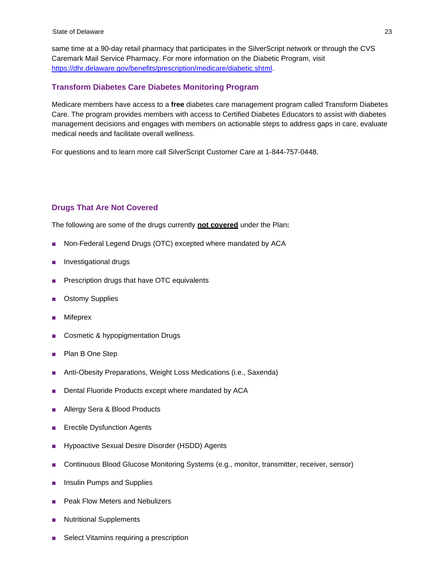same time at a 90-day retail pharmacy that participates in the SilverScript network or through the CVS Caremark Mail Service Pharmacy. For more information on the Diabetic Program, visit [https://dhr.delaware.gov/benefits/prescription/medicare/diabetic.shtml.](https://dhr.delaware.gov/benefits/prescription/medicare/diabetic.shtml)

#### <span id="page-27-0"></span>**Transform Diabetes Care Diabetes Monitoring Program**

Medicare members have access to a **free** diabetes care management program called Transform Diabetes Care. The program provides members with access to Certified Diabetes Educators to assist with diabetes management decisions and engages with members on actionable steps to address gaps in care, evaluate medical needs and facilitate overall wellness.

For questions and to learn more call SilverScript Customer Care at 1-844-757-0448.

#### <span id="page-27-1"></span>**Drugs That Are Not Covered**

The following are some of the drugs currently **not covered** under the Plan**:**

- Non-Federal Legend Drugs (OTC) excepted where mandated by ACA
- Investigational drugs
- Prescription drugs that have OTC equivalents
- **Ostomy Supplies**
- **Mifeprex**
- Cosmetic & hypopigmentation Drugs
- Plan B One Step
- Anti-Obesity Preparations, Weight Loss Medications (i.e., Saxenda)
- Dental Fluoride Products except where mandated by ACA
- Allergy Sera & Blood Products
- Erectile Dysfunction Agents
- Hypoactive Sexual Desire Disorder (HSDD) Agents
- Continuous Blood Glucose Monitoring Systems (e.g., monitor, transmitter, receiver, sensor)
- Insulin Pumps and Supplies
- Peak Flow Meters and Nebulizers
- **Nutritional Supplements**
- Select Vitamins requiring a prescription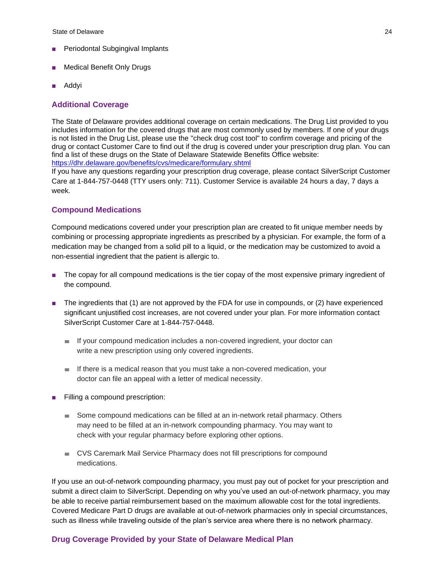State of Delaware 24

- **Periodontal Subgingival Implants**
- Medical Benefit Only Drugs
- Addyi

#### <span id="page-28-0"></span>**Additional Coverage**

The State of Delaware provides additional coverage on certain medications. The Drug List provided to you includes information for the covered drugs that are most commonly used by members. If one of your drugs is not listed in the Drug List, please use the "check drug cost tool" to confirm coverage and pricing of the drug or contact Customer Care to find out if the drug is covered under your prescription drug plan. You can find a list of these drugs on the State of Delaware Statewide Benefits Office website: [https://dhr.delaware.gov/benefits/cvs/medicare/formulary.shtml](https://urldefense.com/v3/__https:/dhr.delaware.gov/benefits/cvs/medicare/formulary.shtml__;!!IF02HbLKfvgGAZjM2hVeUw!M1lhzgFmKwuVaZ1WDmqEyyt0rjEAZw0YuYrcltERUFTNJgFNjJE5jGbzuH3lnhNFUd7vUjDLX2k$)

If you have any questions regarding your prescription drug coverage, please contact SilverScript Customer Care at 1-844-757-0448 (TTY users only: 711). Customer Service is available 24 hours a day, 7 days a week.

#### <span id="page-28-1"></span>**Compound Medications**

Compound medications covered under your prescription plan are created to fit unique member needs by combining or processing appropriate ingredients as prescribed by a physician. For example, the form of a medication may be changed from a solid pill to a liquid, or the medication may be customized to avoid a non-essential ingredient that the patient is allergic to.

- The copay for all compound medications is the tier copay of the most expensive primary ingredient of the compound.
- The ingredients that (1) are not approved by the FDA for use in compounds, or (2) have experienced significant unjustified cost increases, are not covered under your plan. For more information contact SilverScript Customer Care at 1-844-757-0448.
	- *■* If your compound medication includes a non-covered ingredient, your doctor can write a new prescription using only covered ingredients.
	- *■* If there is a medical reason that you must take a non-covered medication, your doctor can file an appeal with a letter of medical necessity.
- Filling a compound prescription:
	- *■* Some compound medications can be filled at an in-network retail pharmacy. Others may need to be filled at an in-network compounding pharmacy. You may want to check with your regular pharmacy before exploring other options.
	- *■* CVS Caremark Mail Service Pharmacy does not fill prescriptions for compound medications.

If you use an out-of-network compounding pharmacy, you must pay out of pocket for your prescription and submit a direct claim to SilverScript. Depending on why you've used an out-of-network pharmacy, you may be able to receive partial reimbursement based on the maximum allowable cost for the total ingredients. Covered Medicare Part D drugs are available at out-of-network pharmacies only in special circumstances, such as illness while traveling outside of the plan's service area where there is no network pharmacy.

#### <span id="page-28-2"></span>**Drug Coverage Provided by your State of Delaware Medical Plan**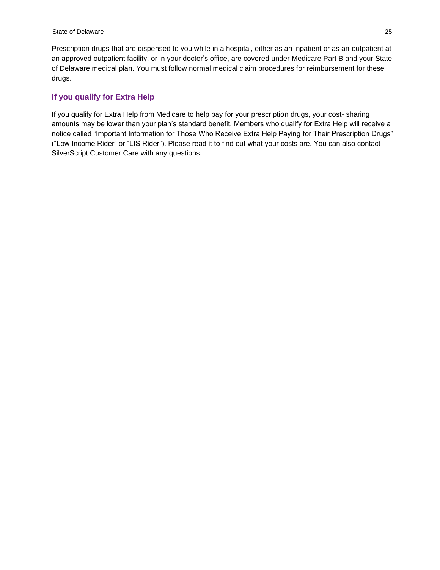Prescription drugs that are dispensed to you while in a hospital, either as an inpatient or as an outpatient at an approved outpatient facility, or in your doctor's office, are covered under Medicare Part B and your State of Delaware medical plan. You must follow normal medical claim procedures for reimbursement for these drugs.

### <span id="page-29-0"></span>**If you qualify for Extra Help**

If you qualify for Extra Help from Medicare to help pay for your prescription drugs, your cost- sharing amounts may be lower than your plan's standard benefit. Members who qualify for Extra Help will receive a notice called "Important Information for Those Who Receive Extra Help Paying for Their Prescription Drugs" ("Low Income Rider" or "LIS Rider"). Please read it to find out what your costs are. You can also contact SilverScript Customer Care with any questions.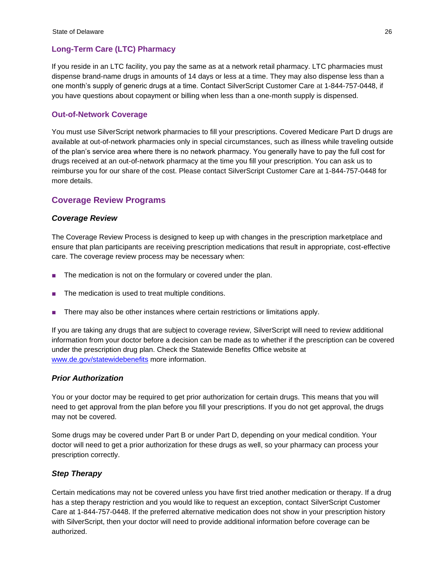## <span id="page-30-0"></span>**Long-Term Care (LTC) Pharmacy**

If you reside in an LTC facility, you pay the same as at a network retail pharmacy. LTC pharmacies must dispense brand-name drugs in amounts of 14 days or less at a time. They may also dispense less than a one month's supply of generic drugs at a time. Contact SilverScript Customer Care at 1-844-757-0448, if you have questions about copayment or billing when less than a one-month supply is dispensed.

## <span id="page-30-1"></span>**Out-of-Network Coverage**

You must use SilverScript network pharmacies to fill your prescriptions. Covered Medicare Part D drugs are available at out-of-network pharmacies only in special circumstances, such as illness while traveling outside of the plan's service area where there is no network pharmacy. You generally have to pay the full cost for drugs received at an out-of-network pharmacy at the time you fill your prescription. You can ask us to reimburse you for our share of the cost. Please contact SilverScript Customer Care at 1-844-757-0448 for more details.

## <span id="page-30-2"></span>**Coverage Review Programs**

#### *Coverage Review*

The Coverage Review Process is designed to keep up with changes in the prescription marketplace and ensure that plan participants are receiving prescription medications that result in appropriate, cost-effective care. The coverage review process may be necessary when:

- The medication is not on the formulary or covered under the plan.
- The medication is used to treat multiple conditions.
- There may also be other instances where certain restrictions or limitations apply.

If you are taking any drugs that are subject to coverage review, SilverScript will need to review additional information from your doctor before a decision can be made as to whether if the prescription can be covered under the prescription drug plan. Check the Statewide Benefits Office website at [www.de.gov/statewidebenefits](http://www.de.gov/statewidebenefits) more information.

#### *Prior Authorization*

You or your doctor may be required to get prior authorization for certain drugs. This means that you will need to get approval from the plan before you fill your prescriptions. If you do not get approval, the drugs may not be covered.

Some drugs may be covered under Part B or under Part D, depending on your medical condition. Your doctor will need to get a prior authorization for these drugs as well, so your pharmacy can process your prescription correctly.

#### *Step Therapy*

Certain medications may not be covered unless you have first tried another medication or therapy. If a drug has a step therapy restriction and you would like to request an exception, contact SilverScript Customer Care at 1-844-757-0448. If the preferred alternative medication does not show in your prescription history with SilverScript, then your doctor will need to provide additional information before coverage can be authorized.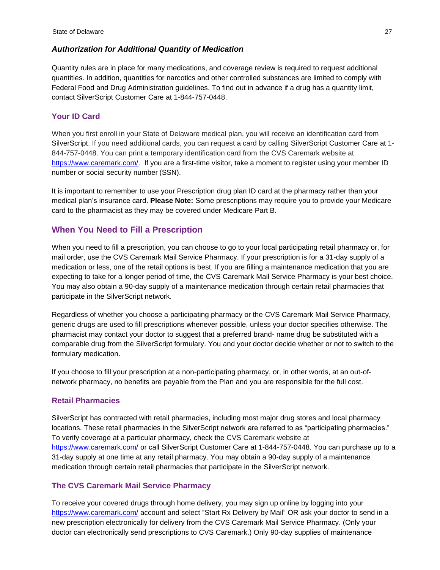#### *Authorization for Additional Quantity of Medication*

Quantity rules are in place for many medications, and coverage review is required to request additional quantities. In addition, quantities for narcotics and other controlled substances are limited to comply with Federal Food and Drug Administration guidelines. To find out in advance if a drug has a quantity limit, contact SilverScript Customer Care at 1-844-757-0448.

### <span id="page-31-0"></span>**Your ID Card**

When you first enroll in your State of Delaware medical plan, you will receive an identification card from SilverScript. If you need additional cards, you can request a card by calling SilverScript Customer Care at 1- 844-757-0448. You can print a temporary identification card from the CVS Caremark website at [https://www.caremark.com/.](https://www.caremark.com/) If you are a first-time visitor, take a moment to register using your member ID number or social security number (SSN).

It is important to remember to use your Prescription drug plan ID card at the pharmacy rather than your medical plan's insurance card. **Please Note:** Some prescriptions may require you to provide your Medicare card to the pharmacist as they may be covered under Medicare Part B.

## <span id="page-31-1"></span>**When You Need to Fill a Prescription**

When you need to fill a prescription, you can choose to go to your local participating retail pharmacy or, for mail order, use the CVS Caremark Mail Service Pharmacy. If your prescription is for a 31-day supply of a medication or less, one of the retail options is best. If you are filling a maintenance medication that you are expecting to take for a longer period of time, the CVS Caremark Mail Service Pharmacy is your best choice. You may also obtain a 90-day supply of a maintenance medication through certain retail pharmacies that participate in the SilverScript network.

Regardless of whether you choose a participating pharmacy or the CVS Caremark Mail Service Pharmacy, generic drugs are used to fill prescriptions whenever possible, unless your doctor specifies otherwise. The pharmacist may contact your doctor to suggest that a preferred brand- name drug be substituted with a comparable drug from the SilverScript formulary. You and your doctor decide whether or not to switch to the formulary medication.

If you choose to fill your prescription at a non-participating pharmacy, or, in other words, at an out-ofnetwork pharmacy, no benefits are payable from the Plan and you are responsible for the full cost.

#### <span id="page-31-2"></span>**Retail Pharmacies**

SilverScript has contracted with retail pharmacies, including most major drug stores and local pharmacy locations. These retail pharmacies in the SilverScript network are referred to as "participating pharmacies." To verify coverage at a particular pharmacy, check the CVS Caremark website at <https://www.caremark.com/> or call SilverScript Customer Care at 1-844-757-0448. You can purchase up to a 31-day supply at one time at any retail pharmacy. You may obtain a 90-day supply of a maintenance medication through certain retail pharmacies that participate in the SilverScript network.

#### <span id="page-31-3"></span>**The CVS Caremark Mail Service Pharmacy**

To receive your covered drugs through home delivery, you may sign up online by logging into your <https://www.caremark.com/> account and select "Start Rx Delivery by Mail" OR ask your doctor to send in a new prescription electronically for delivery from the CVS Caremark Mail Service Pharmacy. (Only your doctor can electronically send prescriptions to CVS Caremark.) Only 90-day supplies of maintenance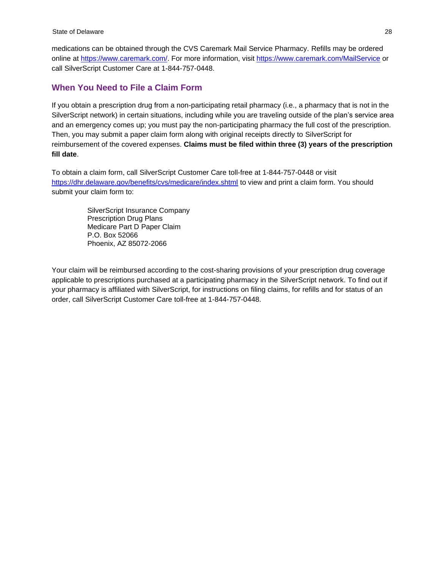medications can be obtained through the CVS Caremark Mail Service Pharmacy. Refills may be ordered online at [https://www.caremark.com/.](https://www.caremark.com/) For more information, visit<https://www.caremark.com/MailService> or call SilverScript Customer Care at 1-844-757-0448.

## <span id="page-32-0"></span>**When You Need to File a Claim Form**

If you obtain a prescription drug from a non-participating retail pharmacy (i.e., a pharmacy that is not in the SilverScript network) in certain situations, including while you are traveling outside of the plan's service area and an emergency comes up; you must pay the non-participating pharmacy the full cost of the prescription. Then, you may submit a paper claim form along with original receipts directly to SilverScript for reimbursement of the covered expenses. **Claims must be filed within three (3) years of the prescription fill date**.

To obtain a claim form, call SilverScript Customer Care toll-free at 1-844-757-0448 or visit <https://dhr.delaware.gov/benefits/cvs/medicare/index.shtml> to view and print a claim form. You should submit your claim form to:

> SilverScript Insurance Company Prescription Drug Plans Medicare Part D Paper Claim P.O. Box 52066 Phoenix, AZ 85072-2066

Your claim will be reimbursed according to the cost-sharing provisions of your prescription drug coverage applicable to prescriptions purchased at a participating pharmacy in the SilverScript network. To find out if your pharmacy is affiliated with SilverScript, for instructions on filing claims, for refills and for status of an order, call SilverScript Customer Care toll-free at 1-844-757-0448.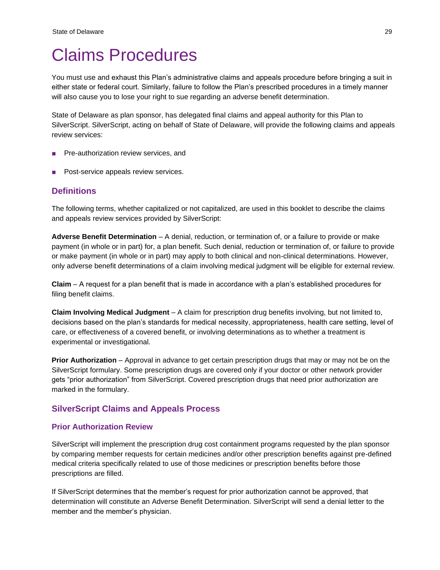## <span id="page-33-0"></span>Claims Procedures

You must use and exhaust this Plan's administrative claims and appeals procedure before bringing a suit in either state or federal court. Similarly, failure to follow the Plan's prescribed procedures in a timely manner will also cause you to lose your right to sue regarding an adverse benefit determination.

State of Delaware as plan sponsor, has delegated final claims and appeal authority for this Plan to SilverScript. SilverScript, acting on behalf of State of Delaware, will provide the following claims and appeals review services:

- Pre-authorization review services, and
- Post-service appeals review services.

## <span id="page-33-1"></span>**Definitions**

The following terms, whether capitalized or not capitalized, are used in this booklet to describe the claims and appeals review services provided by SilverScript:

**Adverse Benefit Determination** – A denial, reduction, or termination of, or a failure to provide or make payment (in whole or in part) for, a plan benefit. Such denial, reduction or termination of, or failure to provide or make payment (in whole or in part) may apply to both clinical and non-clinical determinations. However, only adverse benefit determinations of a claim involving medical judgment will be eligible for external review.

**Claim** – A request for a plan benefit that is made in accordance with a plan's established procedures for filing benefit claims.

**Claim Involving Medical Judgment** – A claim for prescription drug benefits involving, but not limited to, decisions based on the plan's standards for medical necessity, appropriateness, health care setting, level of care, or effectiveness of a covered benefit, or involving determinations as to whether a treatment is experimental or investigational.

**Prior Authorization** – Approval in advance to get certain prescription drugs that may or may not be on the SilverScript formulary. Some prescription drugs are covered only if your doctor or other network provider gets "prior authorization" from SilverScript. Covered prescription drugs that need prior authorization are marked in the formulary.

## <span id="page-33-2"></span>**SilverScript Claims and Appeals Process**

#### <span id="page-33-3"></span>**Prior Authorization Review**

SilverScript will implement the prescription drug cost containment programs requested by the plan sponsor by comparing member requests for certain medicines and/or other prescription benefits against pre-defined medical criteria specifically related to use of those medicines or prescription benefits before those prescriptions are filled.

If SilverScript determines that the member's request for prior authorization cannot be approved, that determination will constitute an Adverse Benefit Determination. SilverScript will send a denial letter to the member and the member's physician.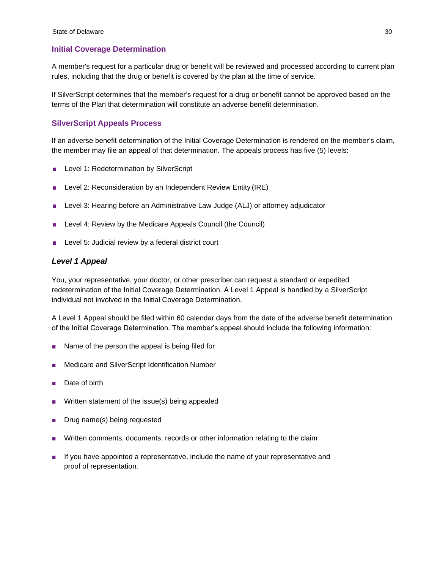### <span id="page-34-0"></span>**Initial Coverage Determination**

A member's request for a particular drug or benefit will be reviewed and processed according to current plan rules, including that the drug or benefit is covered by the plan at the time of service.

If SilverScript determines that the member's request for a drug or benefit cannot be approved based on the terms of the Plan that determination will constitute an adverse benefit determination.

### **SilverScript Appeals Process**

If an adverse benefit determination of the Initial Coverage Determination is rendered on the member's claim, the member may file an appeal of that determination. The appeals process has five (5) levels:

- Level 1: Redetermination by SilverScript
- Level 2: Reconsideration by an Independent Review Entity (IRE)
- Level 3: Hearing before an Administrative Law Judge (ALJ) or attorney adjudicator
- Level 4: Review by the Medicare Appeals Council (the Council)
- Level 5: Judicial review by a federal district court

#### *Level 1 Appeal*

You, your representative, your doctor, or other prescriber can request a standard or expedited redetermination of the Initial Coverage Determination. A Level 1 Appeal is handled by a SilverScript individual not involved in the Initial Coverage Determination.

A Level 1 Appeal should be filed within 60 calendar days from the date of the adverse benefit determination of the Initial Coverage Determination. The member's appeal should include the following information:

- Name of the person the appeal is being filed for
- Medicare and SilverScript Identification Number
- Date of birth
- Written statement of the issue(s) being appealed
- Drug name(s) being requested
- Written comments, documents, records or other information relating to the claim
- If you have appointed a representative, include the name of your representative and proof of representation.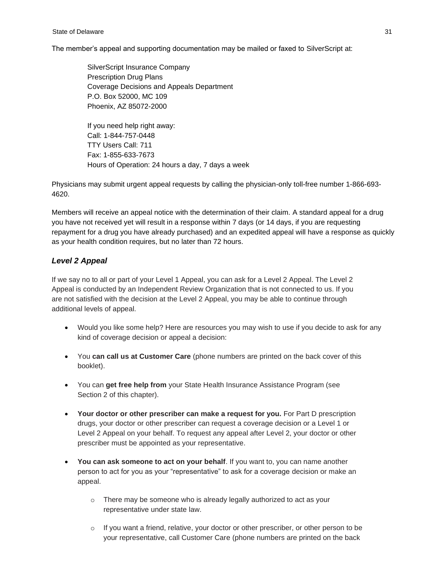#### State of Delaware 31 and 32

The member's appeal and supporting documentation may be mailed or faxed to SilverScript at:

SilverScript Insurance Company Prescription Drug Plans Coverage Decisions and Appeals Department P.O. Box 52000, MC 109 Phoenix, AZ 85072-2000

If you need help right away: Call: 1-844-757-0448 TTY Users Call: 711 Fax: 1-855-633-7673 Hours of Operation: 24 hours a day, 7 days a week

Physicians may submit urgent appeal requests by calling the physician-only toll-free number 1-866-693- 4620.

Members will receive an appeal notice with the determination of their claim. A standard appeal for a drug you have not received yet will result in a response within 7 days (or 14 days, if you are requesting repayment for a drug you have already purchased) and an expedited appeal will have a response as quickly as your health condition requires, but no later than 72 hours.

## *Level 2 Appeal*

If we say no to all or part of your Level 1 Appeal, you can ask for a Level 2 Appeal. The Level 2 Appeal is conducted by an Independent Review Organization that is not connected to us. If you are not satisfied with the decision at the Level 2 Appeal, you may be able to continue through additional levels of appeal.

- Would you like some help? Here are resources you may wish to use if you decide to ask for any kind of coverage decision or appeal a decision:
- You **can call us at Customer Care** (phone numbers are printed on the back cover of this booklet).
- You can **get free help from** your State Health Insurance Assistance Program (see Section 2 of this chapter).
- Your doctor or other prescriber can make a request for you. For Part D prescription drugs, your doctor or other prescriber can request a coverage decision or a Level 1 or Level 2 Appeal on your behalf. To request any appeal after Level 2, your doctor or other prescriber must be appointed as your representative.
- **You can ask someone to act on your behalf**. If you want to, you can name another person to act for you as your "representative" to ask for a coverage decision or make an appeal.
	- o There may be someone who is already legally authorized to act as your representative under state law.
	- $\circ$  If you want a friend, relative, your doctor or other prescriber, or other person to be your representative, call Customer Care (phone numbers are printed on the back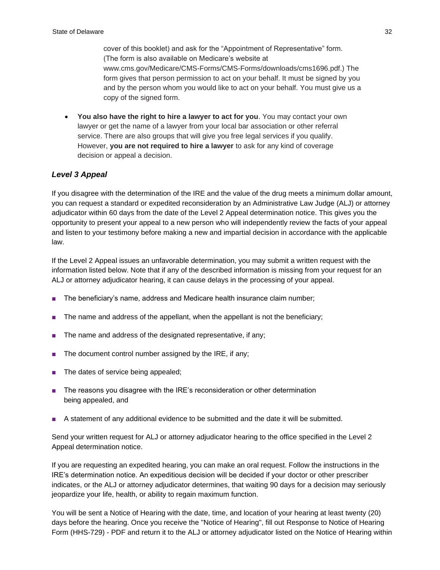cover of this booklet) and ask for the "Appointment of Representative" form. (The form is also available on Medicare's website at www.cms.gov/Medicare/CMS-Forms/CMS-Forms/downloads/cms1696.pdf.) The form gives that person permission to act on your behalf. It must be signed by you and by the person whom you would like to act on your behalf. You must give us a copy of the signed form.

• **You also have the right to hire a lawyer to act for you**. You may contact your own lawyer or get the name of a lawyer from your local bar association or other referral service. There are also groups that will give you free legal services if you qualify. However, **you are not required to hire a lawyer** to ask for any kind of coverage decision or appeal a decision.

## *Level 3 Appeal*

If you disagree with the determination of the IRE and the value of the drug meets a minimum dollar amount, you can request a standard or expedited reconsideration by an Administrative Law Judge (ALJ) or attorney adjudicator within 60 days from the date of the Level 2 Appeal determination notice. This gives you the opportunity to present your appeal to a new person who will independently review the facts of your appeal and listen to your testimony before making a new and impartial decision in accordance with the applicable law.

If the Level 2 Appeal issues an unfavorable determination, you may submit a written request with the information listed below. Note that if any of the described information is missing from your request for an ALJ or attorney adjudicator hearing, it can cause delays in the processing of your appeal.

- The beneficiary's name, address and Medicare health insurance claim number;
- The name and address of the appellant, when the appellant is not the beneficiary;
- The name and address of the designated representative, if any;
- The document control number assigned by the IRE, if any;
- The dates of service being appealed;
- The reasons you disagree with the IRE's reconsideration or other determination being appealed, and
- A statement of any [additional evidence to be submitted a](https://www.hhs.gov/omha/Coverage%20and%20Claims%20Appeals/Documents%20for%20Your%20Hearing/docs_hearing.html)nd the date it will be submitted.

Send your written request for ALJ or attorney adjudicator hearing to the office specified in the Level 2 Appeal determination notice.

If you are requesting an expedited hearing, you can make an oral request. Follow the instructions in the IRE's determination notice. An expeditious decision will be decided if your doctor or other prescriber indicates, or the ALJ or attorney adjudicator determines, that waiting 90 days for a decision may seriously jeopardize your life, health, or ability to regain maximum function.

You will be sent a Notice of Hearing with the date, time, and location of your hearing at least twenty (20) days before the hearing. Once you receive the "Notice of Hearing", fill out [Response](https://www.hhs.gov/sites/default/files/omha/forms/hhs729.pdf) [to Notice of Hearing](https://www.hhs.gov/sites/default/files/omha/forms/hhs729.pdf)  [Form \(HHS-729\) -](https://www.hhs.gov/sites/default/files/omha/forms/hhs729.pdf) PDF and return it to the ALJ or attorney adjudicator listed on the Notice of Hearing within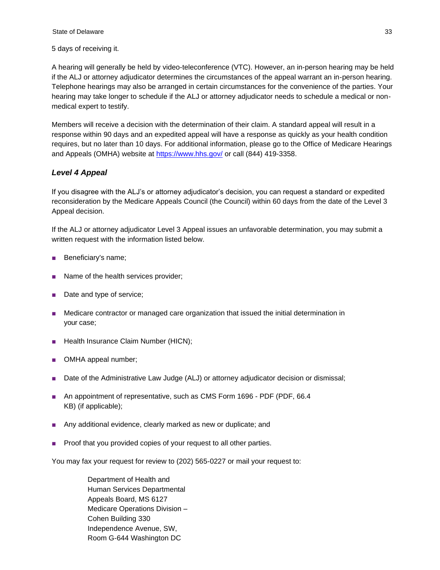#### 5 days of receiving it.

A hearing will generally be held by [video-teleconference \(VTC\).](https://www.hhs.gov/omha/glossary/glossary_main.html#V) However, an in-person hearing may be held if the ALJ or attorney adjudicator determines the circumstances of the appeal warrant an in-person hearing. Telephone hearings may also be arranged in certain circumstances for the convenience of the parties. Your hearing may take longer to schedule if the ALJ or attorney adjudicator needs to schedule a medical or nonmedical expert to testify.

Members will receive a decision with the determination of their claim. A standard appeal will result in a response within 90 days and an expedited appeal will have a response as quickly as your health condition requires, but no later than 10 days. For additional information, please go to the Office of Medicare Hearings and Appeals (OMHA) website at<https://www.hhs.gov/> or call (844) 419-3358.

## *Level 4 Appeal*

If you disagree with the ALJ's or attorney adjudicator's decision, you can request a standard or expedited reconsideration by the Medicare Appeals Council (the Council) within 60 days from the date of the Level 3 Appeal decision.

If the ALJ or attorney adjudicator Level 3 Appeal issues an unfavorable determination, you may submit a written request with the information listed below.

- Beneficiary's name;
- Name of the health services provider;
- Date and type of service;
- Medicare contractor or managed care organization that issued the initial determination in your case;
- Health Insurance Claim Number (HICN);
- OMHA appeal number;
- Date of the Administrative Law Judge (ALJ) or attorney adjudicator decision or dismissal;
- An appointment of representative, such as [CMS Form 1696 -](http://www.cms.hhs.gov/cmsforms/downloads/cms1696.pdf) PDF (PDF, 66.4) KB) (if applicable);
- Any additional evidence, clearly marked as new or duplicate; and
- Proof that you provided copies of your request to all other parties.

You may fax your request for review to (202) 565-0227 or mail your request to:

Department of Health and Human Services Departmental Appeals Board, MS 6127 Medicare Operations Division – Cohen Building 330 Independence Avenue, SW, Room G-644 Washington DC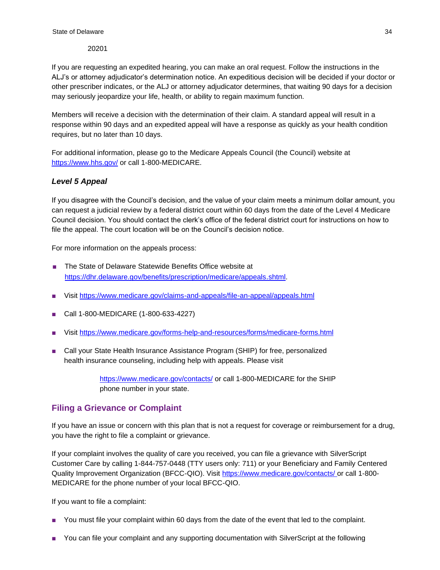20201

If you are requesting an expedited hearing, you can make an oral request. Follow the instructions in the ALJ's or attorney adjudicator's determination notice. An expeditious decision will be decided if your doctor or other prescriber indicates, or the ALJ or attorney adjudicator determines, that waiting 90 days for a decision may seriously jeopardize your life, health, or ability to regain maximum function.

Members will receive a decision with the determination of their claim. A standard appeal will result in a response within 90 days and an expedited appeal will have a response as quickly as your health condition requires, but no later than 10 days.

For additional information, please go to the Medicare Appeals Council (the Council) website at <https://www.hhs.gov/> or call 1-800-MEDICARE.

## *Level 5 Appeal*

If you disagree with the Council's decision, and the value of your claim meets a minimum dollar amount, you can request a judicial review by a federal district court within 60 days from the date of the Level 4 Medicare Council decision. You should contact the clerk's office of the federal district court for instructions on how to file the appeal. The court location will be on the Council's decision notice.

For more information on the appeals process:

- The State of Delaware Statewide Benefits Office website at [https://dhr.delaware.gov/benefits/prescription/medicare/appeals](https://dhr.delaware.gov/benefits/prescription/medicare/appeals.shtml).shtml.
- Visit <https://www.medicare.gov/claims-and-appeals/file-an-appeal/appeals.html>
- Call 1-800-MEDICARE (1-800-633-4227)
- Visit <https://www.medicare.gov/forms-help-and-resources/forms/medicare-forms.html>
- Call your State Health Insurance Assistance Program (SHIP) for free, personalized health insurance counseling, including help with appeals. Please visit

<https://www.medicare.gov/contacts/> or call 1-800-MEDICARE for the SHIP phone number in your state.

## <span id="page-38-0"></span>**Filing a Grievance or Complaint**

If you have an issue or concern with this plan that is not a request for coverage or reimbursement for a drug, you have the right to file a complaint or grievance.

If your complaint involves the quality of care you received, you can file a grievance with SilverScript Customer Care by calling 1-844-757-0448 (TTY users only: 711) or your Beneficiary and Family Centered Quality Improvement Organization (BFCC-QIO). Visit [https://www.medicare.gov/contacts/ o](https://www.medicare.gov/contacts/)r call 1-800- MEDICARE for the phone number of your local BFCC-QIO.

If you want to file a complaint:

- You must file your complaint within 60 days from the date of the event that led to the complaint.
- You can file your complaint and any supporting documentation with SilverScript at the following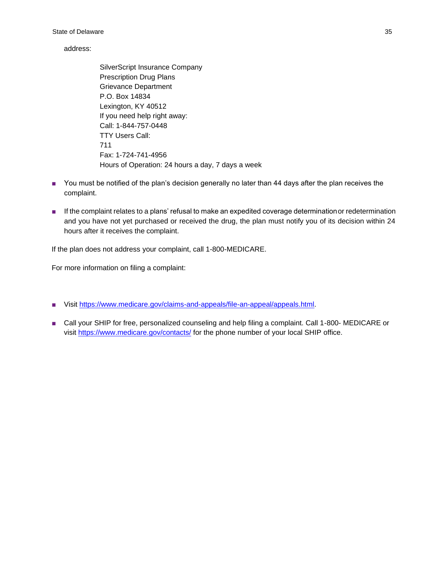#### address:

SilverScript Insurance Company Prescription Drug Plans Grievance Department P.O. Box 14834 Lexington, KY 40512 If you need help right away: Call: 1-844-757-0448 TTY Users Call: 711 Fax: 1-724-741-4956 Hours of Operation: 24 hours a day, 7 days a week

- You must be notified of the plan's decision generally no later than 44 days after the plan receives the complaint.
- If the complaint relates to a plans' refusal to make an expedited coverage determination or redetermination and you have not yet purchased or received the drug, the plan must notify you of its decision within 24 hours after it receives the complaint.

If the plan does not address your complaint, call 1-800-MEDICARE.

For more information on filing a complaint:

- Visit [https://www.medicare.gov/claims-and-appeals/file-an-appeal/appeals.html.](https://www.medicare.gov/claims-and-appeals/file-an-appeal/appeals.html)
- Call your SHIP for free, personalized counseling and help filing a complaint. Call 1-800- MEDICARE or visit <https://www.medicare.gov/contacts/> for the phone number of your local SHIP office.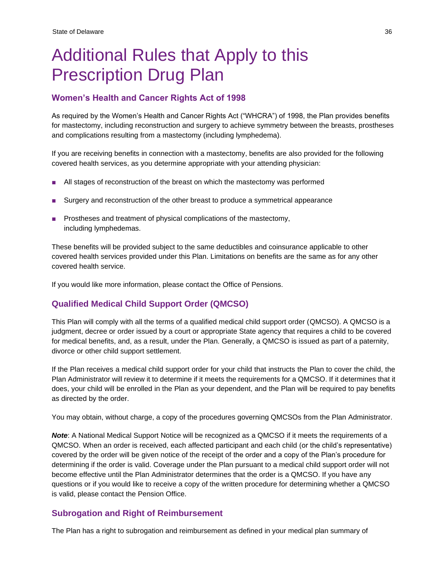# <span id="page-40-0"></span>Additional Rules that Apply to this Prescription Drug Plan

## <span id="page-40-1"></span>**Women's Health and Cancer Rights Act of 1998**

As required by the Women's Health and Cancer Rights Act ("WHCRA") of 1998, the Plan provides benefits for mastectomy, including reconstruction and surgery to achieve symmetry between the breasts, prostheses and complications resulting from a mastectomy (including lymphedema).

If you are receiving benefits in connection with a mastectomy, benefits are also provided for the following covered health services, as you determine appropriate with your attending physician:

- All stages of reconstruction of the breast on which the mastectomy was performed
- Surgery and reconstruction of the other breast to produce a symmetrical appearance
- Prostheses and treatment of physical complications of the mastectomy, including lymphedemas.

These benefits will be provided subject to the same deductibles and coinsurance applicable to other covered health services provided under this Plan. Limitations on benefits are the same as for any other covered health service.

If you would like more information, please contact the Office of Pensions.

## <span id="page-40-2"></span>**Qualified Medical Child Support Order (QMCSO)**

This Plan will comply with all the terms of a qualified medical child support order (QMCSO). A QMCSO is a judgment, decree or order issued by a court or appropriate State agency that requires a child to be covered for medical benefits, and, as a result, under the Plan. Generally, a QMCSO is issued as part of a paternity, divorce or other child support settlement.

If the Plan receives a medical child support order for your child that instructs the Plan to cover the child, the Plan Administrator will review it to determine if it meets the requirements for a QMCSO. If it determines that it does, your child will be enrolled in the Plan as your dependent, and the Plan will be required to pay benefits as directed by the order.

You may obtain, without charge, a copy of the procedures governing QMCSOs from the Plan Administrator.

*Note*: A National Medical Support Notice will be recognized as a QMCSO if it meets the requirements of a QMCSO. When an order is received, each affected participant and each child (or the child's representative) covered by the order will be given notice of the receipt of the order and a copy of the Plan's procedure for determining if the order is valid. Coverage under the Plan pursuant to a medical child support order will not become effective until the Plan Administrator determines that the order is a QMCSO. If you have any questions or if you would like to receive a copy of the written procedure for determining whether a QMCSO is valid, please contact the Pension Office.

## <span id="page-40-3"></span>**Subrogation and Right of Reimbursement**

The Plan has a right to subrogation and reimbursement as defined in your medical plan summary of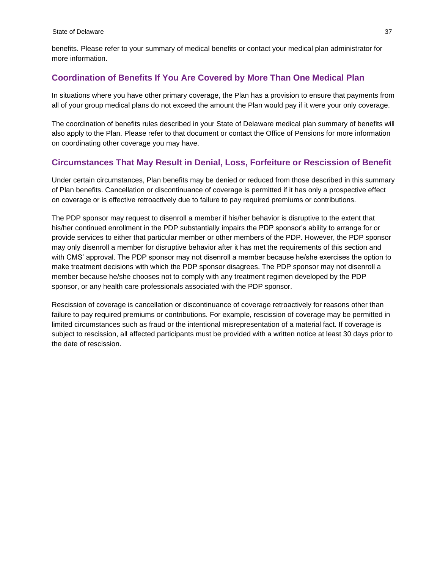benefits. Please refer to your summary of medical benefits or contact your medical plan administrator for more information.

## <span id="page-41-0"></span>**Coordination of Benefits If You Are Covered by More Than One Medical Plan**

In situations where you have other primary coverage, the Plan has a provision to ensure that payments from all of your group medical plans do not exceed the amount the Plan would pay if it were your only coverage.

The coordination of benefits rules described in your State of Delaware medical plan summary of benefits will also apply to the Plan. Please refer to that document or contact the Office of Pensions for more information on coordinating other coverage you may have.

## <span id="page-41-1"></span>**Circumstances That May Result in Denial, Loss, Forfeiture or Rescission of Benefit**

Under certain circumstances, Plan benefits may be denied or reduced from those described in this summary of Plan benefits. Cancellation or discontinuance of coverage is permitted if it has only a prospective effect on coverage or is effective retroactively due to failure to pay required premiums or contributions.

The PDP sponsor may request to disenroll a member if his/her behavior is disruptive to the extent that his/her continued enrollment in the PDP substantially impairs the PDP sponsor's ability to arrange for or provide services to either that particular member or other members of the PDP. However, the PDP sponsor may only disenroll a member for disruptive behavior after it has met the requirements of this section and with CMS' approval. The PDP sponsor may not disenroll a member because he/she exercises the option to make treatment decisions with which the PDP sponsor disagrees. The PDP sponsor may not disenroll a member because he/she chooses not to comply with any treatment regimen developed by the PDP sponsor, or any health care professionals associated with the PDP sponsor.

Rescission of coverage is cancellation or discontinuance of coverage retroactively for reasons other than failure to pay required premiums or contributions. For example, rescission of coverage may be permitted in limited circumstances such as fraud or the intentional misrepresentation of a material fact. If coverage is subject to rescission, all affected participants must be provided with a written notice at least 30 days prior to the date of rescission.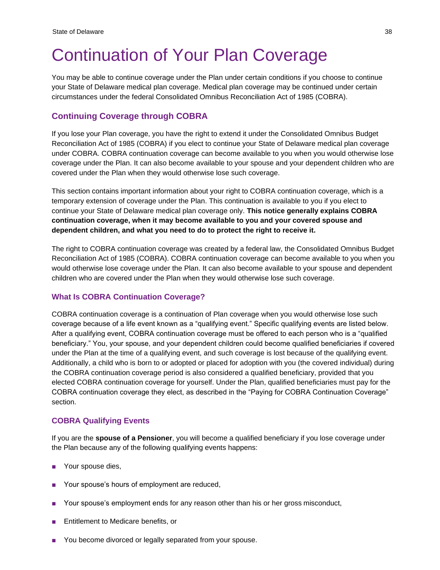## <span id="page-42-0"></span>Continuation of Your Plan Coverage

You may be able to continue coverage under the Plan under certain conditions if you choose to continue your State of Delaware medical plan coverage. Medical plan coverage may be continued under certain circumstances under the federal Consolidated Omnibus Reconciliation Act of 1985 (COBRA).

## <span id="page-42-1"></span>**Continuing Coverage through COBRA**

If you lose your Plan coverage, you have the right to extend it under the Consolidated Omnibus Budget Reconciliation Act of 1985 (COBRA) if you elect to continue your State of Delaware medical plan coverage under COBRA. COBRA continuation coverage can become available to you when you would otherwise lose coverage under the Plan. It can also become available to your spouse and your dependent children who are covered under the Plan when they would otherwise lose such coverage.

This section contains important information about your right to COBRA continuation coverage, which is a temporary extension of coverage under the Plan. This continuation is available to you if you elect to continue your State of Delaware medical plan coverage only. **This notice generally explains COBRA continuation coverage, when it may become available to you and your covered spouse and dependent children, and what you need to do to protect the right to receive it.**

The right to COBRA continuation coverage was created by a federal law, the Consolidated Omnibus Budget Reconciliation Act of 1985 (COBRA). COBRA continuation coverage can become available to you when you would otherwise lose coverage under the Plan. It can also become available to your spouse and dependent children who are covered under the Plan when they would otherwise lose such coverage.

## <span id="page-42-2"></span>**What Is COBRA Continuation Coverage?**

COBRA continuation coverage is a continuation of Plan coverage when you would otherwise lose such coverage because of a life event known as a "qualifying event." Specific qualifying events are listed below. After a qualifying event, COBRA continuation coverage must be offered to each person who is a "qualified beneficiary." You, your spouse, and your dependent children could become qualified beneficiaries if covered under the Plan at the time of a qualifying event, and such coverage is lost because of the qualifying event. Additionally, a child who is born to or adopted or placed for adoption with you (the covered individual) during the COBRA continuation coverage period is also considered a qualified beneficiary, provided that you elected COBRA continuation coverage for yourself. Under the Plan, qualified beneficiaries must pay for the COBRA continuation coverage they elect, as described in the "Paying for COBRA Continuation Coverage" section.

#### <span id="page-42-3"></span>**COBRA Qualifying Events**

If you are the **spouse of a Pensioner**, you will become a qualified beneficiary if you lose coverage under the Plan because any of the following qualifying events happens:

- Your spouse dies,
- Your spouse's hours of employment are reduced,
- Your spouse's employment ends for any reason other than his or her gross misconduct,
- Entitlement to Medicare benefits, or
- You become divorced or legally separated from your spouse.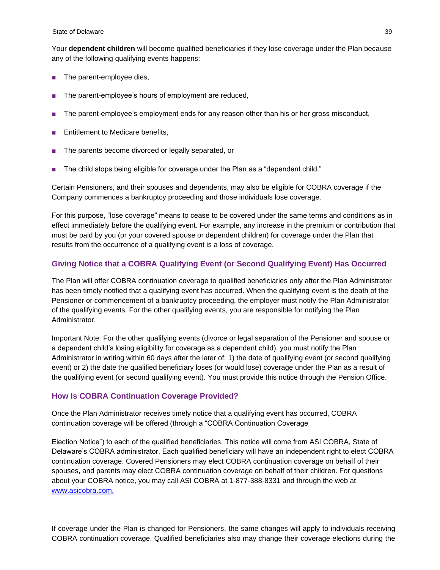Your **dependent children** will become qualified beneficiaries if they lose coverage under the Plan because any of the following qualifying events happens:

- The parent-employee dies,
- The parent-employee's hours of employment are reduced,
- The parent-employee's employment ends for any reason other than his or her gross misconduct,
- **Entitlement to Medicare benefits,**
- The parents become divorced or legally separated, or
- The child stops being eligible for coverage under the Plan as a "dependent child."

Certain Pensioners, and their spouses and dependents, may also be eligible for COBRA coverage if the Company commences a bankruptcy proceeding and those individuals lose coverage.

For this purpose, "lose coverage" means to cease to be covered under the same terms and conditions as in effect immediately before the qualifying event. For example, any increase in the premium or contribution that must be paid by you (or your covered spouse or dependent children) for coverage under the Plan that results from the occurrence of a qualifying event is a loss of coverage.

#### <span id="page-43-0"></span>**Giving Notice that a COBRA Qualifying Event (or Second Qualifying Event) Has Occurred**

The Plan will offer COBRA continuation coverage to qualified beneficiaries only after the Plan Administrator has been timely notified that a qualifying event has occurred. When the qualifying event is the death of the Pensioner or commencement of a bankruptcy proceeding, the employer must notify the Plan Administrator of the qualifying events. For the other qualifying events, you are responsible for notifying the Plan Administrator.

Important Note: For the other qualifying events (divorce or legal separation of the Pensioner and spouse or a dependent child's losing eligibility for coverage as a dependent child), you must notify the Plan Administrator in writing within 60 days after the later of: 1) the date of qualifying event (or second qualifying event) or 2) the date the qualified beneficiary loses (or would lose) coverage under the Plan as a result of the qualifying event (or second qualifying event). You must provide this notice through the Pension Office.

#### <span id="page-43-1"></span>**How Is COBRA Continuation Coverage Provided?**

Once the Plan Administrator receives timely notice that a qualifying event has occurred, COBRA continuation coverage will be offered (through a "COBRA Continuation Coverage

Election Notice") to each of the qualified beneficiaries. This notice will come from ASI COBRA, State of Delaware's COBRA administrator. Each qualified beneficiary will have an independent right to elect COBRA continuation coverage. Covered Pensioners may elect COBRA continuation coverage on behalf of their spouses, and parents may elect COBRA continuation coverage on behalf of their children. For questions about your COBRA notice, you may call ASI COBRA at 1-877-388-8331 and through the web at [www.asicobra.com.](http://www.asicobra.com/)

If coverage under the Plan is changed for Pensioners, the same changes will apply to individuals receiving COBRA continuation coverage. Qualified beneficiaries also may change their coverage elections during the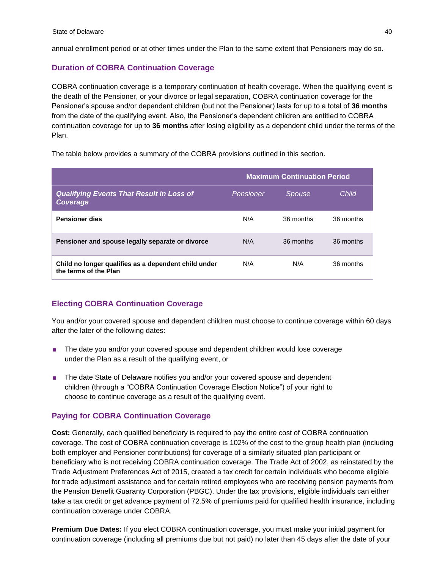annual enrollment period or at other times under the Plan to the same extent that Pensioners may do so.

## **Duration of COBRA Continuation Coverage**

COBRA continuation coverage is a temporary continuation of health coverage. When the qualifying event is the death of the Pensioner, or your divorce or legal separation, COBRA continuation coverage for the Pensioner's spouse and/or dependent children (but not the Pensioner) lasts for up to a total of **36 months**  from the date of the qualifying event. Also, the Pensioner's dependent children are entitled to COBRA continuation coverage for up to **36 months** after losing eligibility as a dependent child under the terms of the Plan.

The table below provides a summary of the COBRA provisions outlined in this section.

|                                                                               |           | <b>Maximum Continuation Period</b> |           |
|-------------------------------------------------------------------------------|-----------|------------------------------------|-----------|
| <b>Qualifying Events That Result in Loss of</b><br>Coverage                   | Pensioner | Spouse                             | Child     |
| <b>Pensioner dies</b>                                                         | N/A       | 36 months                          | 36 months |
| Pensioner and spouse legally separate or divorce                              | N/A       | 36 months                          | 36 months |
| Child no longer qualifies as a dependent child under<br>the terms of the Plan | N/A       | N/A                                | 36 months |

## <span id="page-44-0"></span>**Electing COBRA Continuation Coverage**

You and/or your covered spouse and dependent children must choose to continue coverage within 60 days after the later of the following dates:

- The date you and/or your covered spouse and dependent children would lose coverage under the Plan as a result of the qualifying event, or
- The date State of Delaware notifies you and/or your covered spouse and dependent children (through a "COBRA Continuation Coverage Election Notice") of your right to choose to continue coverage as a result of the qualifying event.

#### <span id="page-44-1"></span>**Paying for COBRA Continuation Coverage**

**Cost:** Generally, each qualified beneficiary is required to pay the entire cost of COBRA continuation coverage. The cost of COBRA continuation coverage is 102% of the cost to the group health plan (including both employer and Pensioner contributions) for coverage of a similarly situated plan participant or beneficiary who is not receiving COBRA continuation coverage. The Trade Act of 2002, as reinstated by the Trade Adjustment Preferences Act of 2015, created a tax credit for certain individuals who become eligible for trade adjustment assistance and for certain retired employees who are receiving pension payments from the Pension Benefit Guaranty Corporation (PBGC). Under the tax provisions, eligible individuals can either take a tax credit or get advance payment of 72.5% of premiums paid for qualified health insurance, including continuation coverage under COBRA.

**Premium Due Dates:** If you elect COBRA continuation coverage, you must make your initial payment for continuation coverage (including all premiums due but not paid) no later than 45 days after the date of your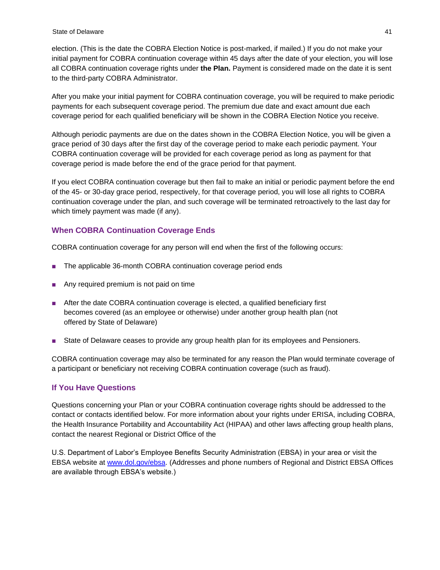election. (This is the date the COBRA Election Notice is post-marked, if mailed.) If you do not make your initial payment for COBRA continuation coverage within 45 days after the date of your election, you will lose all COBRA continuation coverage rights under **the Plan.** Payment is considered made on the date it is sent to the third-party COBRA Administrator.

After you make your initial payment for COBRA continuation coverage, you will be required to make periodic payments for each subsequent coverage period. The premium due date and exact amount due each coverage period for each qualified beneficiary will be shown in the COBRA Election Notice you receive.

Although periodic payments are due on the dates shown in the COBRA Election Notice, you will be given a grace period of 30 days after the first day of the coverage period to make each periodic payment. Your COBRA continuation coverage will be provided for each coverage period as long as payment for that coverage period is made before the end of the grace period for that payment.

If you elect COBRA continuation coverage but then fail to make an initial or periodic payment before the end of the 45- or 30-day grace period, respectively, for that coverage period, you will lose all rights to COBRA continuation coverage under the plan, and such coverage will be terminated retroactively to the last day for which timely payment was made (if any).

## <span id="page-45-0"></span>**When COBRA Continuation Coverage Ends**

COBRA continuation coverage for any person will end when the first of the following occurs:

- The applicable 36-month COBRA continuation coverage period ends
- Any required premium is not paid on time
- After the date COBRA continuation coverage is elected, a qualified beneficiary first becomes covered (as an employee or otherwise) under another group health plan (not offered by State of Delaware)
- State of Delaware ceases to provide any group health plan for its employees and Pensioners.

COBRA continuation coverage may also be terminated for any reason the Plan would terminate coverage of a participant or beneficiary not receiving COBRA continuation coverage (such as fraud).

#### <span id="page-45-1"></span>**If You Have Questions**

Questions concerning your Plan or your COBRA continuation coverage rights should be addressed to the contact or contacts identified below. For more information about your rights under ERISA, including COBRA, the Health Insurance Portability and Accountability Act (HIPAA) and other laws affecting group health plans, contact the nearest Regional or District Office of the

U.S. Department of Labor's Employee Benefits Security Administration (EBSA) in your area or visit the EBSA website at [www.dol.gov/ebsa. \(](http://www.dol.gov/ebsa)Addresses and phone numbers of Regional and District EBSA Offices are available through EBSA's website.)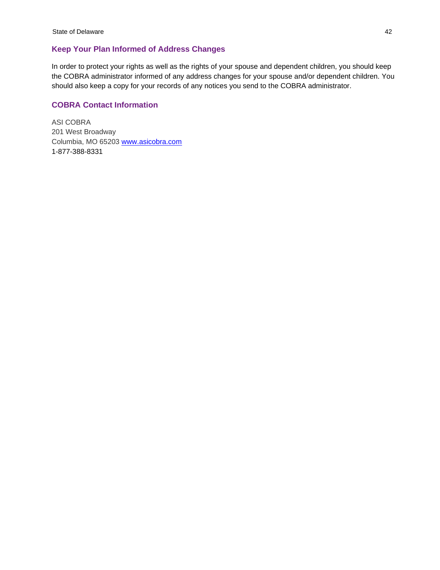## <span id="page-46-0"></span>**Keep Your Plan Informed of Address Changes**

In order to protect your rights as well as the rights of your spouse and dependent children, you should keep the COBRA administrator informed of any address changes for your spouse and/or dependent children. You should also keep a copy for your records of any notices you send to the COBRA administrator.

#### <span id="page-46-1"></span>**COBRA Contact Information**

ASI COBRA 201 West Broadway Columbia, MO 65203 [www.asicobra.com](http://www.asicobra.com/) 1-877-388-8331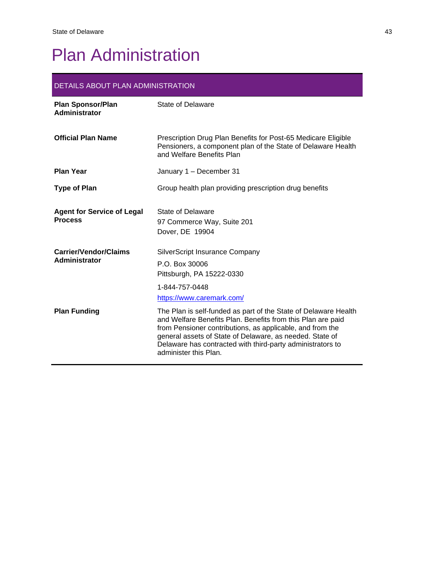# <span id="page-47-0"></span>Plan Administration

## DETAILS ABOUT PLAN ADMINISTRATION

| <b>Plan Sponsor/Plan</b><br>Administrator           | State of Delaware                                                                                                                                                                                                                                                                                                                              |
|-----------------------------------------------------|------------------------------------------------------------------------------------------------------------------------------------------------------------------------------------------------------------------------------------------------------------------------------------------------------------------------------------------------|
| <b>Official Plan Name</b>                           | Prescription Drug Plan Benefits for Post-65 Medicare Eligible<br>Pensioners, a component plan of the State of Delaware Health<br>and Welfare Benefits Plan                                                                                                                                                                                     |
| <b>Plan Year</b>                                    | January 1 – December 31                                                                                                                                                                                                                                                                                                                        |
| <b>Type of Plan</b>                                 | Group health plan providing prescription drug benefits                                                                                                                                                                                                                                                                                         |
| <b>Agent for Service of Legal</b><br><b>Process</b> | State of Delaware<br>97 Commerce Way, Suite 201<br>Dover, DE 19904                                                                                                                                                                                                                                                                             |
| <b>Carrier/Vendor/Claims</b><br>Administrator       | <b>SilverScript Insurance Company</b><br>P.O. Box 30006<br>Pittsburgh, PA 15222-0330<br>1-844-757-0448<br>https://www.caremark.com/                                                                                                                                                                                                            |
| <b>Plan Funding</b>                                 | The Plan is self-funded as part of the State of Delaware Health<br>and Welfare Benefits Plan. Benefits from this Plan are paid<br>from Pensioner contributions, as applicable, and from the<br>general assets of State of Delaware, as needed. State of<br>Delaware has contracted with third-party administrators to<br>administer this Plan. |